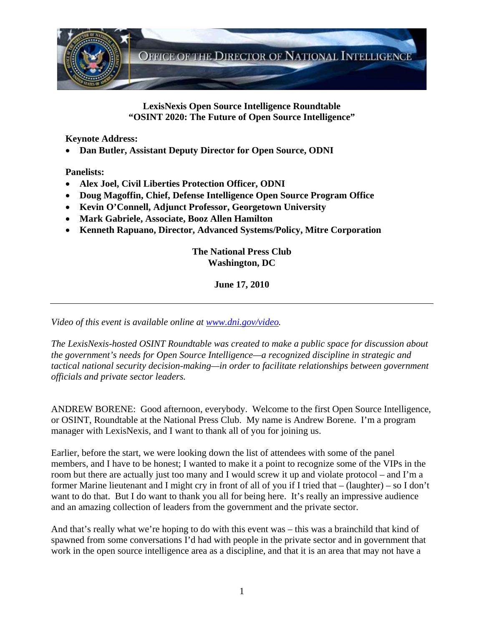

**LexisNexis Open Source Intelligence Roundtable "OSINT 2020: The Future of Open Source Intelligence"** 

 **Keynote Address:** 

• **Dan Butler, Assistant Deputy Director for Open Source, ODNI** 

 **Panelists:** 

- **Alex Joel, Civil Liberties Protection Officer, ODNI**
- **Doug Magoffin, Chief, Defense Intelligence Open Source Program Office**
- **Kevin O'Connell, Adjunct Professor, Georgetown University**
- **Mark Gabriele, Associate, Booz Allen Hamilton**
- **Kenneth Rapuano, Director, Advanced Systems/Policy, Mitre Corporation**

**The National Press Club Washington, DC** 

**June 17, 2010** 

*Video of this event is available online at [www.dni.gov/video.](http://www.dni.gov/video)* 

*The LexisNexis-hosted OSINT Roundtable was created to make a public space for discussion about the government's needs for Open Source Intelligence—a recognized discipline in strategic and tactical national security decision-making—in order to facilitate relationships between government officials and private sector leaders.* 

ANDREW BORENE: Good afternoon, everybody. Welcome to the first Open Source Intelligence, or OSINT, Roundtable at the National Press Club. My name is Andrew Borene. I'm a program manager with LexisNexis, and I want to thank all of you for joining us.

Earlier, before the start, we were looking down the list of attendees with some of the panel members, and I have to be honest; I wanted to make it a point to recognize some of the VIPs in the room but there are actually just too many and I would screw it up and violate protocol – and I'm a former Marine lieutenant and I might cry in front of all of you if I tried that – (laughter) – so I don't want to do that. But I do want to thank you all for being here. It's really an impressive audience and an amazing collection of leaders from the government and the private sector.

And that's really what we're hoping to do with this event was – this was a brainchild that kind of spawned from some conversations I'd had with people in the private sector and in government that work in the open source intelligence area as a discipline, and that it is an area that may not have a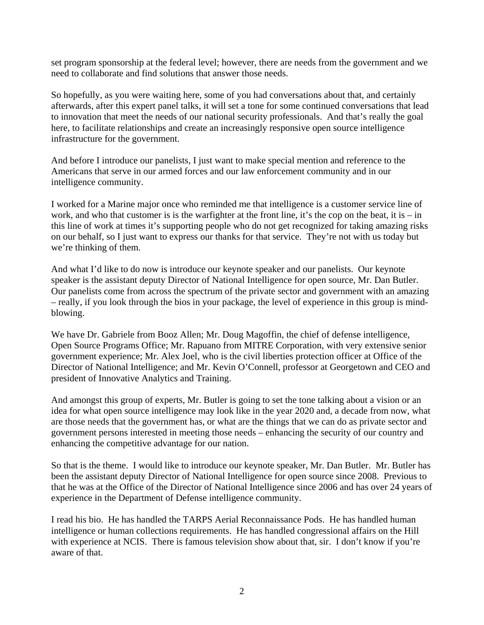set program sponsorship at the federal level; however, there are needs from the government and we need to collaborate and find solutions that answer those needs.

So hopefully, as you were waiting here, some of you had conversations about that, and certainly afterwards, after this expert panel talks, it will set a tone for some continued conversations that lead to innovation that meet the needs of our national security professionals. And that's really the goal here, to facilitate relationships and create an increasingly responsive open source intelligence infrastructure for the government.

And before I introduce our panelists, I just want to make special mention and reference to the Americans that serve in our armed forces and our law enforcement community and in our intelligence community.

I worked for a Marine major once who reminded me that intelligence is a customer service line of work, and who that customer is is the warfighter at the front line, it's the cop on the beat, it is  $-$  in this line of work at times it's supporting people who do not get recognized for taking amazing risks on our behalf, so I just want to express our thanks for that service. They're not with us today but we're thinking of them.

And what I'd like to do now is introduce our keynote speaker and our panelists. Our keynote speaker is the assistant deputy Director of National Intelligence for open source, Mr. Dan Butler. Our panelists come from across the spectrum of the private sector and government with an amazing – really, if you look through the bios in your package, the level of experience in this group is mindblowing.

We have Dr. Gabriele from Booz Allen; Mr. Doug Magoffin, the chief of defense intelligence, Open Source Programs Office; Mr. Rapuano from MITRE Corporation, with very extensive senior government experience; Mr. Alex Joel, who is the civil liberties protection officer at Office of the Director of National Intelligence; and Mr. Kevin O'Connell, professor at Georgetown and CEO and president of Innovative Analytics and Training.

And amongst this group of experts, Mr. Butler is going to set the tone talking about a vision or an idea for what open source intelligence may look like in the year 2020 and, a decade from now, what are those needs that the government has, or what are the things that we can do as private sector and government persons interested in meeting those needs – enhancing the security of our country and enhancing the competitive advantage for our nation.

So that is the theme. I would like to introduce our keynote speaker, Mr. Dan Butler. Mr. Butler has been the assistant deputy Director of National Intelligence for open source since 2008. Previous to that he was at the Office of the Director of National Intelligence since 2006 and has over 24 years of experience in the Department of Defense intelligence community.

I read his bio. He has handled the TARPS Aerial Reconnaissance Pods. He has handled human intelligence or human collections requirements. He has handled congressional affairs on the Hill with experience at NCIS. There is famous television show about that, sir. I don't know if you're aware of that.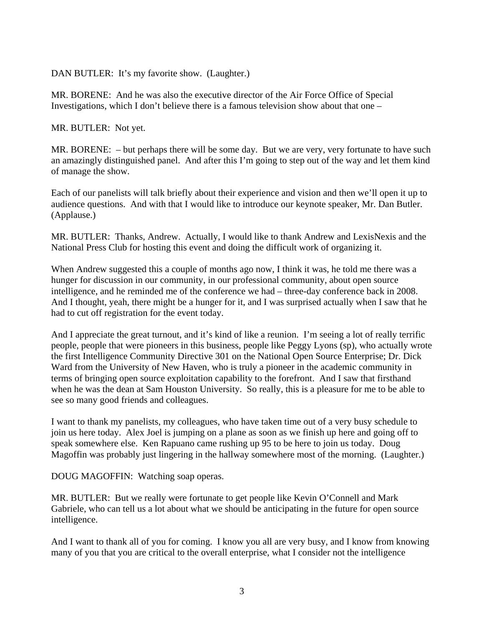DAN BUTLER: It's my favorite show. (Laughter.)

MR. BORENE: And he was also the executive director of the Air Force Office of Special Investigations, which I don't believe there is a famous television show about that one –

MR. BUTLER: Not yet.

MR. BORENE: – but perhaps there will be some day. But we are very, very fortunate to have such an amazingly distinguished panel. And after this I'm going to step out of the way and let them kind of manage the show.

Each of our panelists will talk briefly about their experience and vision and then we'll open it up to audience questions. And with that I would like to introduce our keynote speaker, Mr. Dan Butler. (Applause.)

MR. BUTLER: Thanks, Andrew. Actually, I would like to thank Andrew and LexisNexis and the National Press Club for hosting this event and doing the difficult work of organizing it.

When Andrew suggested this a couple of months ago now, I think it was, he told me there was a hunger for discussion in our community, in our professional community, about open source intelligence, and he reminded me of the conference we had – three-day conference back in 2008. And I thought, yeah, there might be a hunger for it, and I was surprised actually when I saw that he had to cut off registration for the event today.

And I appreciate the great turnout, and it's kind of like a reunion. I'm seeing a lot of really terrific people, people that were pioneers in this business, people like Peggy Lyons (sp), who actually wrote the first Intelligence Community Directive 301 on the National Open Source Enterprise; Dr. Dick Ward from the University of New Haven, who is truly a pioneer in the academic community in terms of bringing open source exploitation capability to the forefront. And I saw that firsthand when he was the dean at Sam Houston University. So really, this is a pleasure for me to be able to see so many good friends and colleagues.

I want to thank my panelists, my colleagues, who have taken time out of a very busy schedule to join us here today. Alex Joel is jumping on a plane as soon as we finish up here and going off to speak somewhere else. Ken Rapuano came rushing up 95 to be here to join us today. Doug Magoffin was probably just lingering in the hallway somewhere most of the morning. (Laughter.)

DOUG MAGOFFIN: Watching soap operas.

MR. BUTLER: But we really were fortunate to get people like Kevin O'Connell and Mark Gabriele, who can tell us a lot about what we should be anticipating in the future for open source intelligence.

And I want to thank all of you for coming. I know you all are very busy, and I know from knowing many of you that you are critical to the overall enterprise, what I consider not the intelligence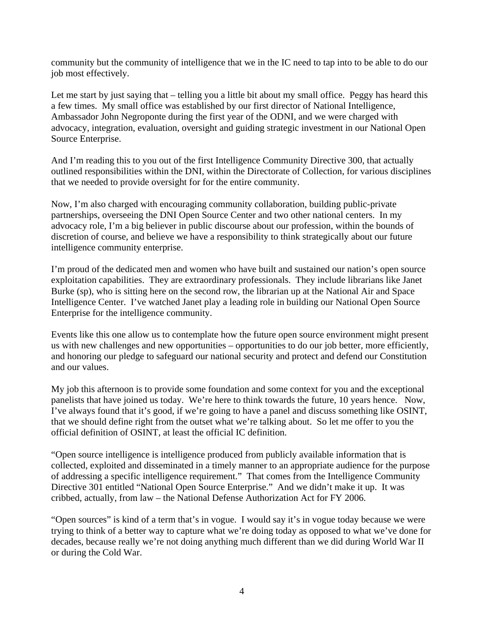community but the community of intelligence that we in the IC need to tap into to be able to do our job most effectively.

Let me start by just saying that – telling you a little bit about my small office. Peggy has heard this a few times. My small office was established by our first director of National Intelligence, Ambassador John Negroponte during the first year of the ODNI, and we were charged with advocacy, integration, evaluation, oversight and guiding strategic investment in our National Open Source Enterprise.

And I'm reading this to you out of the first Intelligence Community Directive 300, that actually outlined responsibilities within the DNI, within the Directorate of Collection, for various disciplines that we needed to provide oversight for for the entire community.

Now, I'm also charged with encouraging community collaboration, building public-private partnerships, overseeing the DNI Open Source Center and two other national centers. In my advocacy role, I'm a big believer in public discourse about our profession, within the bounds of discretion of course, and believe we have a responsibility to think strategically about our future intelligence community enterprise.

I'm proud of the dedicated men and women who have built and sustained our nation's open source exploitation capabilities. They are extraordinary professionals. They include librarians like Janet Burke (sp), who is sitting here on the second row, the librarian up at the National Air and Space Intelligence Center. I've watched Janet play a leading role in building our National Open Source Enterprise for the intelligence community.

Events like this one allow us to contemplate how the future open source environment might present us with new challenges and new opportunities – opportunities to do our job better, more efficiently, and honoring our pledge to safeguard our national security and protect and defend our Constitution and our values.

My job this afternoon is to provide some foundation and some context for you and the exceptional panelists that have joined us today. We're here to think towards the future, 10 years hence. Now, I've always found that it's good, if we're going to have a panel and discuss something like OSINT, that we should define right from the outset what we're talking about. So let me offer to you the official definition of OSINT, at least the official IC definition.

"Open source intelligence is intelligence produced from publicly available information that is collected, exploited and disseminated in a timely manner to an appropriate audience for the purpose of addressing a specific intelligence requirement." That comes from the Intelligence Community Directive 301 entitled "National Open Source Enterprise." And we didn't make it up. It was cribbed, actually, from law – the National Defense Authorization Act for FY 2006.

"Open sources" is kind of a term that's in vogue. I would say it's in vogue today because we were trying to think of a better way to capture what we're doing today as opposed to what we've done for decades, because really we're not doing anything much different than we did during World War II or during the Cold War.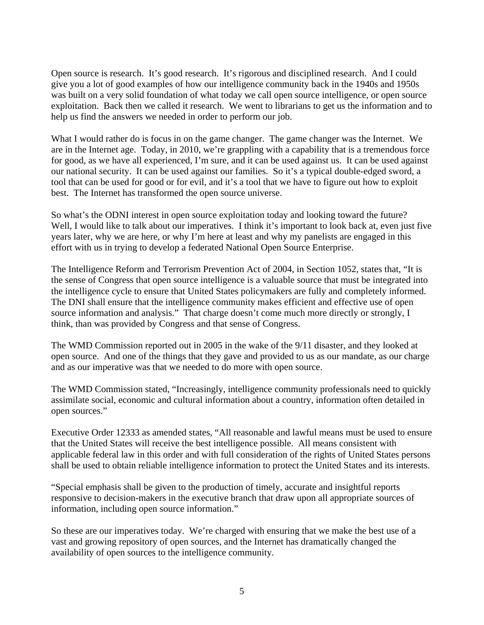Open source is research. It's good research. It's rigorous and disciplined research. And I could give you a lot of good examples of how our intelligence community back in the 1940s and 1950s was built on a very solid foundation of what today we call open source intelligence, or open source exploitation. Back then we called it research. We went to librarians to get us the information and to help us find the answers we needed in order to perform our job.

What I would rather do is focus in on the game changer. The game changer was the Internet. We are in the Internet age. Today, in 2010, we're grappling with a capability that is a tremendous force for good, as we have all experienced, I'm sure, and it can be used against us. It can be used against our national security. It can be used against our families. So it's a typical double-edged sword, a tool that can be used for good or for evil, and it's a tool that we have to figure out how to exploit best. The Internet has transformed the open source universe.

So what's the ODNI interest in open source exploitation today and looking toward the future? Well, I would like to talk about our imperatives. I think it's important to look back at, even just five years later, why we are here, or why I'm here at least and why my panelists are engaged in this effort with us in trying to develop a federated National Open Source Enterprise.

The Intelligence Reform and Terrorism Prevention Act of 2004, in Section 1052, states that, "It is the sense of Congress that open source intelligence is a valuable source that must be integrated into the intelligence cycle to ensure that United States policymakers are fully and completely informed. The DNI shall ensure that the intelligence community makes efficient and effective use of open source information and analysis." That charge doesn't come much more directly or strongly, I think, than was provided by Congress and that sense of Congress.

The WMD Commission reported out in 2005 in the wake of the 9/11 disaster, and they looked at open source. And one of the things that they gave and provided to us as our mandate, as our charge and as our imperative was that we needed to do more with open source.

The WMD Commission stated, "Increasingly, intelligence community professionals need to quickly assimilate social, economic and cultural information about a country, information often detailed in open sources."

Executive Order 12333 as amended states, "All reasonable and lawful means must be used to ensure that the United States will receive the best intelligence possible. All means consistent with applicable federal law in this order and with full consideration of the rights of United States persons shall be used to obtain reliable intelligence information to protect the United States and its interests.

"Special emphasis shall be given to the production of timely, accurate and insightful reports responsive to decision-makers in the executive branch that draw upon all appropriate sources of information, including open source information."

So these are our imperatives today. We're charged with ensuring that we make the best use of a vast and growing repository of open sources, and the Internet has dramatically changed the availability of open sources to the intelligence community.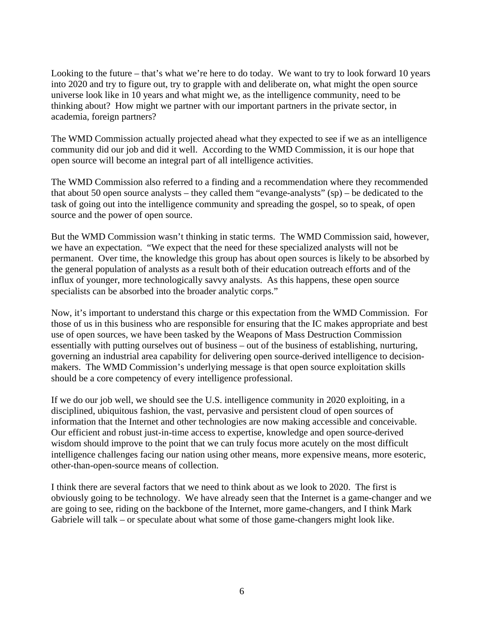Looking to the future – that's what we're here to do today. We want to try to look forward 10 years into 2020 and try to figure out, try to grapple with and deliberate on, what might the open source universe look like in 10 years and what might we, as the intelligence community, need to be thinking about? How might we partner with our important partners in the private sector, in academia, foreign partners?

The WMD Commission actually projected ahead what they expected to see if we as an intelligence community did our job and did it well. According to the WMD Commission, it is our hope that open source will become an integral part of all intelligence activities.

The WMD Commission also referred to a finding and a recommendation where they recommended that about 50 open source analysts – they called them "evange-analysts" (sp) – be dedicated to the task of going out into the intelligence community and spreading the gospel, so to speak, of open source and the power of open source.

But the WMD Commission wasn't thinking in static terms. The WMD Commission said, however, we have an expectation. "We expect that the need for these specialized analysts will not be permanent. Over time, the knowledge this group has about open sources is likely to be absorbed by the general population of analysts as a result both of their education outreach efforts and of the influx of younger, more technologically savvy analysts. As this happens, these open source specialists can be absorbed into the broader analytic corps."

Now, it's important to understand this charge or this expectation from the WMD Commission. For those of us in this business who are responsible for ensuring that the IC makes appropriate and best use of open sources, we have been tasked by the Weapons of Mass Destruction Commission essentially with putting ourselves out of business – out of the business of establishing, nurturing, governing an industrial area capability for delivering open source-derived intelligence to decisionmakers. The WMD Commission's underlying message is that open source exploitation skills should be a core competency of every intelligence professional.

If we do our job well, we should see the U.S. intelligence community in 2020 exploiting, in a disciplined, ubiquitous fashion, the vast, pervasive and persistent cloud of open sources of information that the Internet and other technologies are now making accessible and conceivable. Our efficient and robust just-in-time access to expertise, knowledge and open source-derived wisdom should improve to the point that we can truly focus more acutely on the most difficult intelligence challenges facing our nation using other means, more expensive means, more esoteric, other-than-open-source means of collection.

I think there are several factors that we need to think about as we look to 2020. The first is obviously going to be technology. We have already seen that the Internet is a game-changer and we are going to see, riding on the backbone of the Internet, more game-changers, and I think Mark Gabriele will talk – or speculate about what some of those game-changers might look like.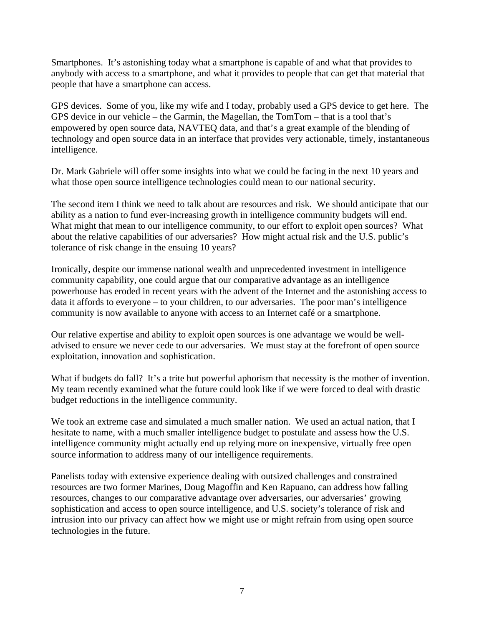Smartphones. It's astonishing today what a smartphone is capable of and what that provides to anybody with access to a smartphone, and what it provides to people that can get that material that people that have a smartphone can access.

GPS devices. Some of you, like my wife and I today, probably used a GPS device to get here. The GPS device in our vehicle – the Garmin, the Magellan, the TomTom – that is a tool that's empowered by open source data, NAVTEQ data, and that's a great example of the blending of technology and open source data in an interface that provides very actionable, timely, instantaneous intelligence.

Dr. Mark Gabriele will offer some insights into what we could be facing in the next 10 years and what those open source intelligence technologies could mean to our national security.

The second item I think we need to talk about are resources and risk. We should anticipate that our ability as a nation to fund ever-increasing growth in intelligence community budgets will end. What might that mean to our intelligence community, to our effort to exploit open sources? What about the relative capabilities of our adversaries? How might actual risk and the U.S. public's tolerance of risk change in the ensuing 10 years?

Ironically, despite our immense national wealth and unprecedented investment in intelligence community capability, one could argue that our comparative advantage as an intelligence powerhouse has eroded in recent years with the advent of the Internet and the astonishing access to data it affords to everyone – to your children, to our adversaries. The poor man's intelligence community is now available to anyone with access to an Internet café or a smartphone.

Our relative expertise and ability to exploit open sources is one advantage we would be welladvised to ensure we never cede to our adversaries. We must stay at the forefront of open source exploitation, innovation and sophistication.

What if budgets do fall? It's a trite but powerful aphorism that necessity is the mother of invention. My team recently examined what the future could look like if we were forced to deal with drastic budget reductions in the intelligence community.

We took an extreme case and simulated a much smaller nation. We used an actual nation, that I hesitate to name, with a much smaller intelligence budget to postulate and assess how the U.S. intelligence community might actually end up relying more on inexpensive, virtually free open source information to address many of our intelligence requirements.

Panelists today with extensive experience dealing with outsized challenges and constrained resources are two former Marines, Doug Magoffin and Ken Rapuano, can address how falling resources, changes to our comparative advantage over adversaries, our adversaries' growing sophistication and access to open source intelligence, and U.S. society's tolerance of risk and intrusion into our privacy can affect how we might use or might refrain from using open source technologies in the future.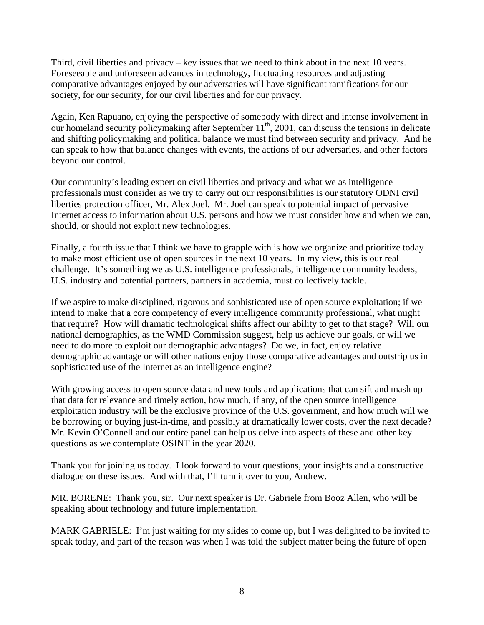Third, civil liberties and privacy – key issues that we need to think about in the next 10 years. Foreseeable and unforeseen advances in technology, fluctuating resources and adjusting comparative advantages enjoyed by our adversaries will have significant ramifications for our society, for our security, for our civil liberties and for our privacy.

Again, Ken Rapuano, enjoying the perspective of somebody with direct and intense involvement in our homeland security policymaking after September  $11<sup>th</sup>$ , 2001, can discuss the tensions in delicate and shifting policymaking and political balance we must find between security and privacy. And he can speak to how that balance changes with events, the actions of our adversaries, and other factors beyond our control.

Our community's leading expert on civil liberties and privacy and what we as intelligence professionals must consider as we try to carry out our responsibilities is our statutory ODNI civil liberties protection officer, Mr. Alex Joel. Mr. Joel can speak to potential impact of pervasive Internet access to information about U.S. persons and how we must consider how and when we can, should, or should not exploit new technologies.

Finally, a fourth issue that I think we have to grapple with is how we organize and prioritize today to make most efficient use of open sources in the next 10 years. In my view, this is our real challenge. It's something we as U.S. intelligence professionals, intelligence community leaders, U.S. industry and potential partners, partners in academia, must collectively tackle.

If we aspire to make disciplined, rigorous and sophisticated use of open source exploitation; if we intend to make that a core competency of every intelligence community professional, what might that require? How will dramatic technological shifts affect our ability to get to that stage? Will our national demographics, as the WMD Commission suggest, help us achieve our goals, or will we need to do more to exploit our demographic advantages? Do we, in fact, enjoy relative demographic advantage or will other nations enjoy those comparative advantages and outstrip us in sophisticated use of the Internet as an intelligence engine?

With growing access to open source data and new tools and applications that can sift and mash up that data for relevance and timely action, how much, if any, of the open source intelligence exploitation industry will be the exclusive province of the U.S. government, and how much will we be borrowing or buying just-in-time, and possibly at dramatically lower costs, over the next decade? Mr. Kevin O'Connell and our entire panel can help us delve into aspects of these and other key questions as we contemplate OSINT in the year 2020.

Thank you for joining us today. I look forward to your questions, your insights and a constructive dialogue on these issues. And with that, I'll turn it over to you, Andrew.

MR. BORENE: Thank you, sir. Our next speaker is Dr. Gabriele from Booz Allen, who will be speaking about technology and future implementation.

MARK GABRIELE: I'm just waiting for my slides to come up, but I was delighted to be invited to speak today, and part of the reason was when I was told the subject matter being the future of open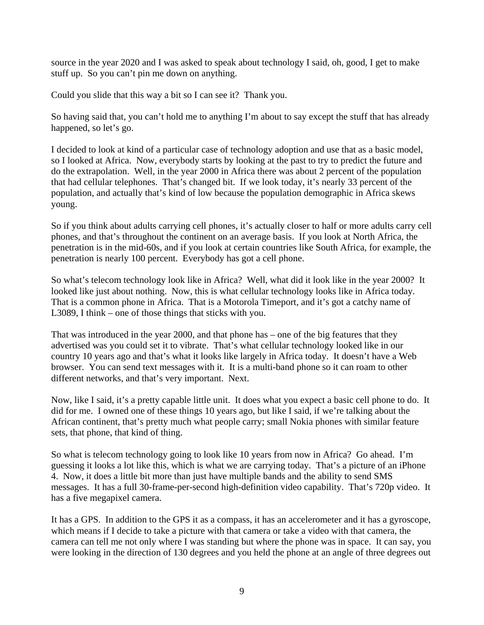source in the year 2020 and I was asked to speak about technology I said, oh, good, I get to make stuff up. So you can't pin me down on anything.

Could you slide that this way a bit so I can see it? Thank you.

So having said that, you can't hold me to anything I'm about to say except the stuff that has already happened, so let's go.

I decided to look at kind of a particular case of technology adoption and use that as a basic model, so I looked at Africa. Now, everybody starts by looking at the past to try to predict the future and do the extrapolation. Well, in the year 2000 in Africa there was about 2 percent of the population that had cellular telephones. That's changed bit. If we look today, it's nearly 33 percent of the population, and actually that's kind of low because the population demographic in Africa skews young.

So if you think about adults carrying cell phones, it's actually closer to half or more adults carry cell phones, and that's throughout the continent on an average basis. If you look at North Africa, the penetration is in the mid-60s, and if you look at certain countries like South Africa, for example, the penetration is nearly 100 percent. Everybody has got a cell phone.

So what's telecom technology look like in Africa? Well, what did it look like in the year 2000? It looked like just about nothing. Now, this is what cellular technology looks like in Africa today. That is a common phone in Africa. That is a Motorola Timeport, and it's got a catchy name of L3089, I think – one of those things that sticks with you.

That was introduced in the year 2000, and that phone has – one of the big features that they advertised was you could set it to vibrate. That's what cellular technology looked like in our country 10 years ago and that's what it looks like largely in Africa today. It doesn't have a Web browser. You can send text messages with it. It is a multi-band phone so it can roam to other different networks, and that's very important. Next.

Now, like I said, it's a pretty capable little unit. It does what you expect a basic cell phone to do. It did for me. I owned one of these things 10 years ago, but like I said, if we're talking about the African continent, that's pretty much what people carry; small Nokia phones with similar feature sets, that phone, that kind of thing.

So what is telecom technology going to look like 10 years from now in Africa? Go ahead. I'm guessing it looks a lot like this, which is what we are carrying today. That's a picture of an iPhone 4. Now, it does a little bit more than just have multiple bands and the ability to send SMS messages. It has a full 30-frame-per-second high-definition video capability. That's 720p video. It has a five megapixel camera.

It has a GPS. In addition to the GPS it as a compass, it has an accelerometer and it has a gyroscope, which means if I decide to take a picture with that camera or take a video with that camera, the camera can tell me not only where I was standing but where the phone was in space. It can say, you were looking in the direction of 130 degrees and you held the phone at an angle of three degrees out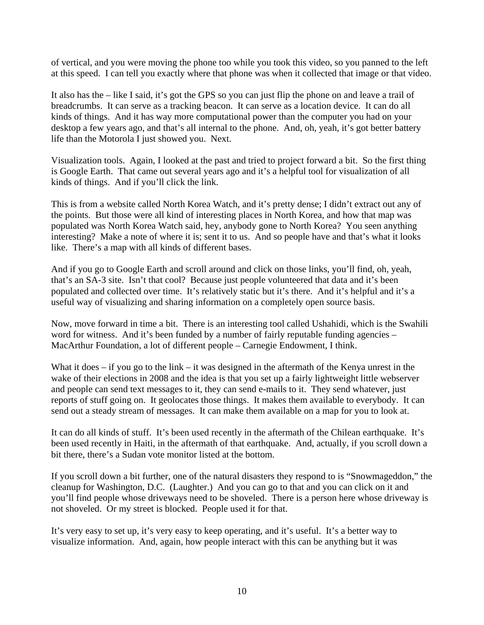of vertical, and you were moving the phone too while you took this video, so you panned to the left at this speed. I can tell you exactly where that phone was when it collected that image or that video.

It also has the – like I said, it's got the GPS so you can just flip the phone on and leave a trail of breadcrumbs. It can serve as a tracking beacon. It can serve as a location device. It can do all kinds of things. And it has way more computational power than the computer you had on your desktop a few years ago, and that's all internal to the phone. And, oh, yeah, it's got better battery life than the Motorola I just showed you. Next.

Visualization tools. Again, I looked at the past and tried to project forward a bit. So the first thing is Google Earth. That came out several years ago and it's a helpful tool for visualization of all kinds of things. And if you'll click the link.

This is from a website called North Korea Watch, and it's pretty dense; I didn't extract out any of the points. But those were all kind of interesting places in North Korea, and how that map was populated was North Korea Watch said, hey, anybody gone to North Korea? You seen anything interesting? Make a note of where it is; sent it to us. And so people have and that's what it looks like. There's a map with all kinds of different bases.

And if you go to Google Earth and scroll around and click on those links, you'll find, oh, yeah, that's an SA-3 site. Isn't that cool? Because just people volunteered that data and it's been populated and collected over time. It's relatively static but it's there. And it's helpful and it's a useful way of visualizing and sharing information on a completely open source basis.

Now, move forward in time a bit. There is an interesting tool called Ushahidi, which is the Swahili word for witness. And it's been funded by a number of fairly reputable funding agencies – MacArthur Foundation, a lot of different people – Carnegie Endowment, I think.

What it does – if you go to the link – it was designed in the aftermath of the Kenya unrest in the wake of their elections in 2008 and the idea is that you set up a fairly lightweight little webserver and people can send text messages to it, they can send e-mails to it. They send whatever, just reports of stuff going on. It geolocates those things. It makes them available to everybody. It can send out a steady stream of messages. It can make them available on a map for you to look at.

It can do all kinds of stuff. It's been used recently in the aftermath of the Chilean earthquake. It's been used recently in Haiti, in the aftermath of that earthquake. And, actually, if you scroll down a bit there, there's a Sudan vote monitor listed at the bottom.

If you scroll down a bit further, one of the natural disasters they respond to is "Snowmageddon," the cleanup for Washington, D.C. (Laughter.) And you can go to that and you can click on it and you'll find people whose driveways need to be shoveled. There is a person here whose driveway is not shoveled. Or my street is blocked. People used it for that.

It's very easy to set up, it's very easy to keep operating, and it's useful. It's a better way to visualize information. And, again, how people interact with this can be anything but it was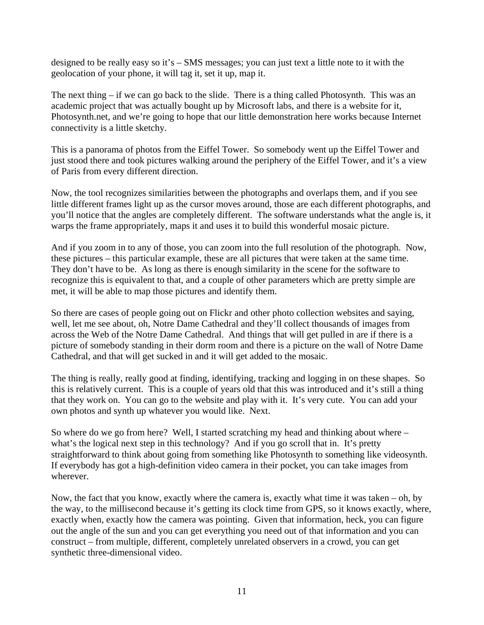designed to be really easy so it's – SMS messages; you can just text a little note to it with the geolocation of your phone, it will tag it, set it up, map it.

The next thing – if we can go back to the slide. There is a thing called Photosynth. This was an academic project that was actually bought up by Microsoft labs, and there is a website for it, Photosynth.net, and we're going to hope that our little demonstration here works because Internet connectivity is a little sketchy.

This is a panorama of photos from the Eiffel Tower. So somebody went up the Eiffel Tower and just stood there and took pictures walking around the periphery of the Eiffel Tower, and it's a view of Paris from every different direction.

Now, the tool recognizes similarities between the photographs and overlaps them, and if you see little different frames light up as the cursor moves around, those are each different photographs, and you'll notice that the angles are completely different. The software understands what the angle is, it warps the frame appropriately, maps it and uses it to build this wonderful mosaic picture.

And if you zoom in to any of those, you can zoom into the full resolution of the photograph. Now, these pictures – this particular example, these are all pictures that were taken at the same time. They don't have to be. As long as there is enough similarity in the scene for the software to recognize this is equivalent to that, and a couple of other parameters which are pretty simple are met, it will be able to map those pictures and identify them.

So there are cases of people going out on Flickr and other photo collection websites and saying, well, let me see about, oh, Notre Dame Cathedral and they'll collect thousands of images from across the Web of the Notre Dame Cathedral. And things that will get pulled in are if there is a picture of somebody standing in their dorm room and there is a picture on the wall of Notre Dame Cathedral, and that will get sucked in and it will get added to the mosaic.

The thing is really, really good at finding, identifying, tracking and logging in on these shapes. So this is relatively current. This is a couple of years old that this was introduced and it's still a thing that they work on. You can go to the website and play with it. It's very cute. You can add your own photos and synth up whatever you would like. Next.

So where do we go from here? Well, I started scratching my head and thinking about where – what's the logical next step in this technology? And if you go scroll that in. It's pretty straightforward to think about going from something like Photosynth to something like videosynth. If everybody has got a high-definition video camera in their pocket, you can take images from wherever.

Now, the fact that you know, exactly where the camera is, exactly what time it was taken – oh, by the way, to the millisecond because it's getting its clock time from GPS, so it knows exactly, where, exactly when, exactly how the camera was pointing. Given that information, heck, you can figure out the angle of the sun and you can get everything you need out of that information and you can construct – from multiple, different, completely unrelated observers in a crowd, you can get synthetic three-dimensional video.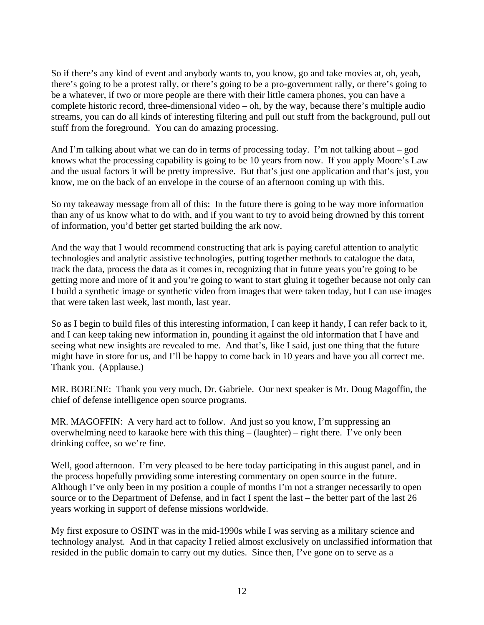So if there's any kind of event and anybody wants to, you know, go and take movies at, oh, yeah, there's going to be a protest rally, or there's going to be a pro-government rally, or there's going to be a whatever, if two or more people are there with their little camera phones, you can have a complete historic record, three-dimensional video – oh, by the way, because there's multiple audio streams, you can do all kinds of interesting filtering and pull out stuff from the background, pull out stuff from the foreground. You can do amazing processing.

And I'm talking about what we can do in terms of processing today. I'm not talking about – god knows what the processing capability is going to be 10 years from now. If you apply Moore's Law and the usual factors it will be pretty impressive. But that's just one application and that's just, you know, me on the back of an envelope in the course of an afternoon coming up with this.

So my takeaway message from all of this: In the future there is going to be way more information than any of us know what to do with, and if you want to try to avoid being drowned by this torrent of information, you'd better get started building the ark now.

And the way that I would recommend constructing that ark is paying careful attention to analytic technologies and analytic assistive technologies, putting together methods to catalogue the data, track the data, process the data as it comes in, recognizing that in future years you're going to be getting more and more of it and you're going to want to start gluing it together because not only can I build a synthetic image or synthetic video from images that were taken today, but I can use images that were taken last week, last month, last year.

So as I begin to build files of this interesting information, I can keep it handy, I can refer back to it, and I can keep taking new information in, pounding it against the old information that I have and seeing what new insights are revealed to me. And that's, like I said, just one thing that the future might have in store for us, and I'll be happy to come back in 10 years and have you all correct me. Thank you. (Applause.)

MR. BORENE: Thank you very much, Dr. Gabriele. Our next speaker is Mr. Doug Magoffin, the chief of defense intelligence open source programs.

MR. MAGOFFIN: A very hard act to follow. And just so you know, I'm suppressing an overwhelming need to karaoke here with this thing – (laughter) – right there. I've only been drinking coffee, so we're fine.

Well, good afternoon. I'm very pleased to be here today participating in this august panel, and in the process hopefully providing some interesting commentary on open source in the future. Although I've only been in my position a couple of months I'm not a stranger necessarily to open source or to the Department of Defense, and in fact I spent the last – the better part of the last 26 years working in support of defense missions worldwide.

My first exposure to OSINT was in the mid-1990s while I was serving as a military science and technology analyst. And in that capacity I relied almost exclusively on unclassified information that resided in the public domain to carry out my duties. Since then, I've gone on to serve as a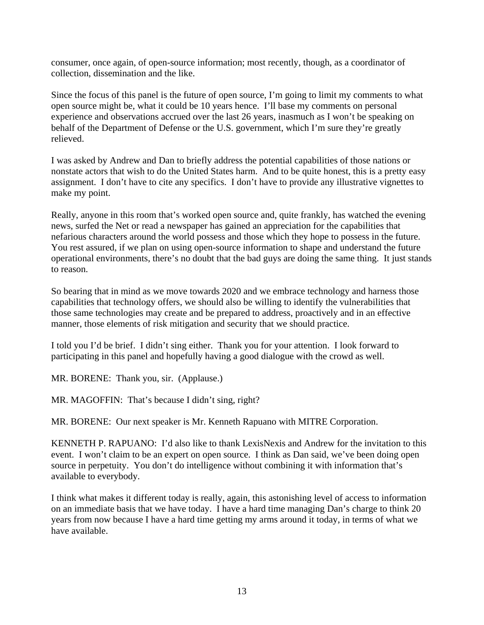consumer, once again, of open-source information; most recently, though, as a coordinator of collection, dissemination and the like.

Since the focus of this panel is the future of open source, I'm going to limit my comments to what open source might be, what it could be 10 years hence. I'll base my comments on personal experience and observations accrued over the last 26 years, inasmuch as I won't be speaking on behalf of the Department of Defense or the U.S. government, which I'm sure they're greatly relieved.

I was asked by Andrew and Dan to briefly address the potential capabilities of those nations or nonstate actors that wish to do the United States harm. And to be quite honest, this is a pretty easy assignment. I don't have to cite any specifics. I don't have to provide any illustrative vignettes to make my point.

Really, anyone in this room that's worked open source and, quite frankly, has watched the evening news, surfed the Net or read a newspaper has gained an appreciation for the capabilities that nefarious characters around the world possess and those which they hope to possess in the future. You rest assured, if we plan on using open-source information to shape and understand the future operational environments, there's no doubt that the bad guys are doing the same thing. It just stands to reason.

So bearing that in mind as we move towards 2020 and we embrace technology and harness those capabilities that technology offers, we should also be willing to identify the vulnerabilities that those same technologies may create and be prepared to address, proactively and in an effective manner, those elements of risk mitigation and security that we should practice.

I told you I'd be brief. I didn't sing either. Thank you for your attention. I look forward to participating in this panel and hopefully having a good dialogue with the crowd as well.

MR. BORENE: Thank you, sir. (Applause.)

MR. MAGOFFIN: That's because I didn't sing, right?

MR. BORENE: Our next speaker is Mr. Kenneth Rapuano with MITRE Corporation.

KENNETH P. RAPUANO: I'd also like to thank LexisNexis and Andrew for the invitation to this event. I won't claim to be an expert on open source. I think as Dan said, we've been doing open source in perpetuity. You don't do intelligence without combining it with information that's available to everybody.

I think what makes it different today is really, again, this astonishing level of access to information on an immediate basis that we have today. I have a hard time managing Dan's charge to think 20 years from now because I have a hard time getting my arms around it today, in terms of what we have available.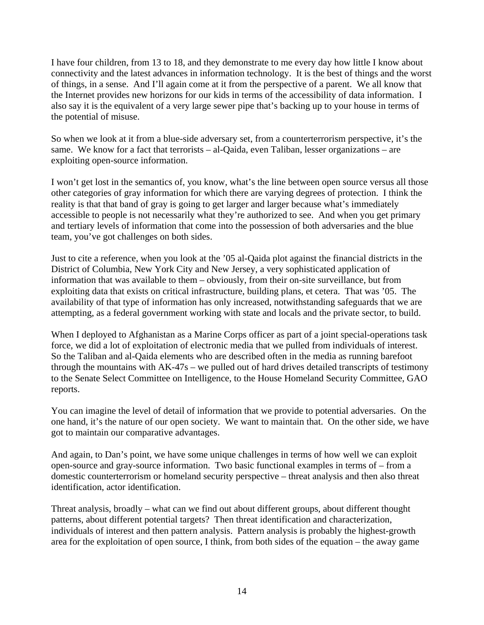I have four children, from 13 to 18, and they demonstrate to me every day how little I know about connectivity and the latest advances in information technology. It is the best of things and the worst of things, in a sense. And I'll again come at it from the perspective of a parent. We all know that the Internet provides new horizons for our kids in terms of the accessibility of data information. I also say it is the equivalent of a very large sewer pipe that's backing up to your house in terms of the potential of misuse.

So when we look at it from a blue-side adversary set, from a counterterrorism perspective, it's the same. We know for a fact that terrorists – al-Qaida, even Taliban, lesser organizations – are exploiting open-source information.

I won't get lost in the semantics of, you know, what's the line between open source versus all those other categories of gray information for which there are varying degrees of protection. I think the reality is that that band of gray is going to get larger and larger because what's immediately accessible to people is not necessarily what they're authorized to see. And when you get primary and tertiary levels of information that come into the possession of both adversaries and the blue team, you've got challenges on both sides.

Just to cite a reference, when you look at the '05 al-Qaida plot against the financial districts in the District of Columbia, New York City and New Jersey, a very sophisticated application of information that was available to them – obviously, from their on-site surveillance, but from exploiting data that exists on critical infrastructure, building plans, et cetera. That was '05. The availability of that type of information has only increased, notwithstanding safeguards that we are attempting, as a federal government working with state and locals and the private sector, to build.

When I deployed to Afghanistan as a Marine Corps officer as part of a joint special-operations task force, we did a lot of exploitation of electronic media that we pulled from individuals of interest. So the Taliban and al-Qaida elements who are described often in the media as running barefoot through the mountains with AK-47s – we pulled out of hard drives detailed transcripts of testimony to the Senate Select Committee on Intelligence, to the House Homeland Security Committee, GAO reports.

You can imagine the level of detail of information that we provide to potential adversaries. On the one hand, it's the nature of our open society. We want to maintain that. On the other side, we have got to maintain our comparative advantages.

And again, to Dan's point, we have some unique challenges in terms of how well we can exploit open-source and gray-source information. Two basic functional examples in terms of – from a domestic counterterrorism or homeland security perspective – threat analysis and then also threat identification, actor identification.

Threat analysis, broadly – what can we find out about different groups, about different thought patterns, about different potential targets? Then threat identification and characterization, individuals of interest and then pattern analysis. Pattern analysis is probably the highest-growth area for the exploitation of open source, I think, from both sides of the equation – the away game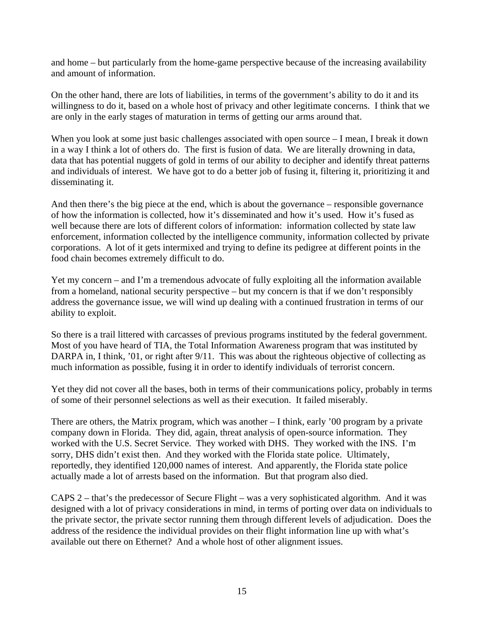and home – but particularly from the home-game perspective because of the increasing availability and amount of information.

On the other hand, there are lots of liabilities, in terms of the government's ability to do it and its willingness to do it, based on a whole host of privacy and other legitimate concerns. I think that we are only in the early stages of maturation in terms of getting our arms around that.

When you look at some just basic challenges associated with open source - I mean, I break it down in a way I think a lot of others do. The first is fusion of data. We are literally drowning in data, data that has potential nuggets of gold in terms of our ability to decipher and identify threat patterns and individuals of interest. We have got to do a better job of fusing it, filtering it, prioritizing it and disseminating it.

And then there's the big piece at the end, which is about the governance – responsible governance of how the information is collected, how it's disseminated and how it's used. How it's fused as well because there are lots of different colors of information: information collected by state law enforcement, information collected by the intelligence community, information collected by private corporations. A lot of it gets intermixed and trying to define its pedigree at different points in the food chain becomes extremely difficult to do.

Yet my concern – and I'm a tremendous advocate of fully exploiting all the information available from a homeland, national security perspective – but my concern is that if we don't responsibly address the governance issue, we will wind up dealing with a continued frustration in terms of our ability to exploit.

So there is a trail littered with carcasses of previous programs instituted by the federal government. Most of you have heard of TIA, the Total Information Awareness program that was instituted by DARPA in, I think, '01, or right after 9/11. This was about the righteous objective of collecting as much information as possible, fusing it in order to identify individuals of terrorist concern.

Yet they did not cover all the bases, both in terms of their communications policy, probably in terms of some of their personnel selections as well as their execution. It failed miserably.

There are others, the Matrix program, which was another – I think, early '00 program by a private company down in Florida. They did, again, threat analysis of open-source information. They worked with the U.S. Secret Service. They worked with DHS. They worked with the INS. I'm sorry, DHS didn't exist then. And they worked with the Florida state police. Ultimately, reportedly, they identified 120,000 names of interest. And apparently, the Florida state police actually made a lot of arrests based on the information. But that program also died.

CAPS 2 – that's the predecessor of Secure Flight – was a very sophisticated algorithm. And it was designed with a lot of privacy considerations in mind, in terms of porting over data on individuals to the private sector, the private sector running them through different levels of adjudication. Does the address of the residence the individual provides on their flight information line up with what's available out there on Ethernet? And a whole host of other alignment issues.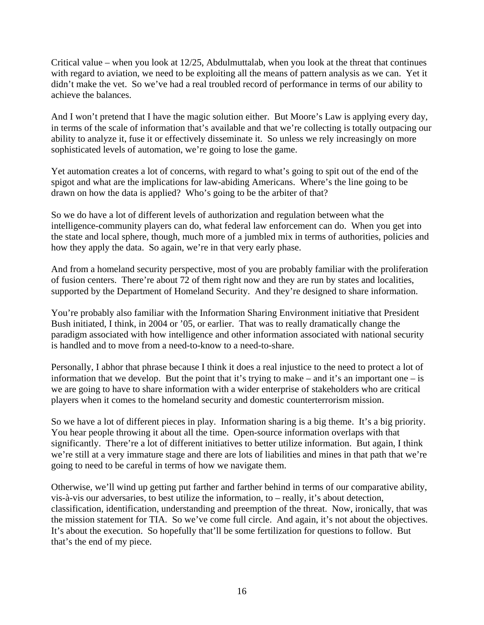Critical value – when you look at  $12/25$ , Abdulmuttalab, when you look at the threat that continues with regard to aviation, we need to be exploiting all the means of pattern analysis as we can. Yet it didn't make the vet. So we've had a real troubled record of performance in terms of our ability to achieve the balances.

And I won't pretend that I have the magic solution either. But Moore's Law is applying every day, in terms of the scale of information that's available and that we're collecting is totally outpacing our ability to analyze it, fuse it or effectively disseminate it. So unless we rely increasingly on more sophisticated levels of automation, we're going to lose the game.

Yet automation creates a lot of concerns, with regard to what's going to spit out of the end of the spigot and what are the implications for law-abiding Americans. Where's the line going to be drawn on how the data is applied? Who's going to be the arbiter of that?

So we do have a lot of different levels of authorization and regulation between what the intelligence-community players can do, what federal law enforcement can do. When you get into the state and local sphere, though, much more of a jumbled mix in terms of authorities, policies and how they apply the data. So again, we're in that very early phase.

And from a homeland security perspective, most of you are probably familiar with the proliferation of fusion centers. There're about 72 of them right now and they are run by states and localities, supported by the Department of Homeland Security. And they're designed to share information.

You're probably also familiar with the Information Sharing Environment initiative that President Bush initiated, I think, in 2004 or '05, or earlier. That was to really dramatically change the paradigm associated with how intelligence and other information associated with national security is handled and to move from a need-to-know to a need-to-share.

Personally, I abhor that phrase because I think it does a real injustice to the need to protect a lot of information that we develop. But the point that it's trying to make – and it's an important one – is we are going to have to share information with a wider enterprise of stakeholders who are critical players when it comes to the homeland security and domestic counterterrorism mission.

So we have a lot of different pieces in play. Information sharing is a big theme. It's a big priority. You hear people throwing it about all the time. Open-source information overlaps with that significantly. There're a lot of different initiatives to better utilize information. But again, I think we're still at a very immature stage and there are lots of liabilities and mines in that path that we're going to need to be careful in terms of how we navigate them.

Otherwise, we'll wind up getting put farther and farther behind in terms of our comparative ability, vis-à-vis our adversaries, to best utilize the information, to – really, it's about detection, classification, identification, understanding and preemption of the threat. Now, ironically, that was the mission statement for TIA. So we've come full circle. And again, it's not about the objectives. It's about the execution. So hopefully that'll be some fertilization for questions to follow. But that's the end of my piece.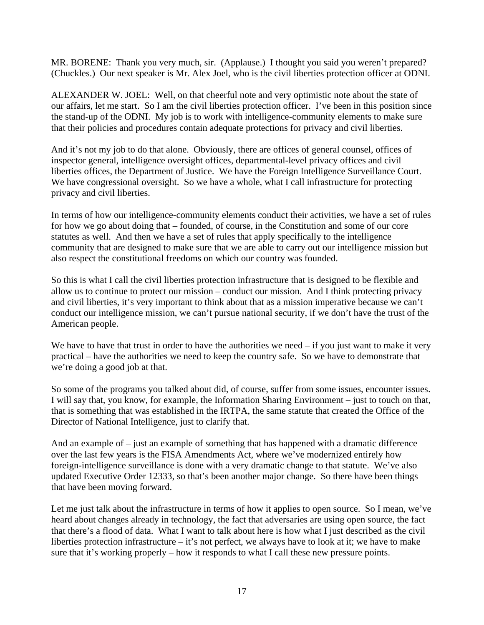MR. BORENE: Thank you very much, sir. (Applause.) I thought you said you weren't prepared? (Chuckles.) Our next speaker is Mr. Alex Joel, who is the civil liberties protection officer at ODNI.

ALEXANDER W. JOEL: Well, on that cheerful note and very optimistic note about the state of our affairs, let me start. So I am the civil liberties protection officer. I've been in this position since the stand-up of the ODNI. My job is to work with intelligence-community elements to make sure that their policies and procedures contain adequate protections for privacy and civil liberties.

And it's not my job to do that alone. Obviously, there are offices of general counsel, offices of inspector general, intelligence oversight offices, departmental-level privacy offices and civil liberties offices, the Department of Justice. We have the Foreign Intelligence Surveillance Court. We have congressional oversight. So we have a whole, what I call infrastructure for protecting privacy and civil liberties.

In terms of how our intelligence-community elements conduct their activities, we have a set of rules for how we go about doing that – founded, of course, in the Constitution and some of our core statutes as well. And then we have a set of rules that apply specifically to the intelligence community that are designed to make sure that we are able to carry out our intelligence mission but also respect the constitutional freedoms on which our country was founded.

So this is what I call the civil liberties protection infrastructure that is designed to be flexible and allow us to continue to protect our mission – conduct our mission. And I think protecting privacy and civil liberties, it's very important to think about that as a mission imperative because we can't conduct our intelligence mission, we can't pursue national security, if we don't have the trust of the American people.

We have to have that trust in order to have the authorities we need  $-$  if you just want to make it very practical – have the authorities we need to keep the country safe. So we have to demonstrate that we're doing a good job at that.

So some of the programs you talked about did, of course, suffer from some issues, encounter issues. I will say that, you know, for example, the Information Sharing Environment – just to touch on that, that is something that was established in the IRTPA, the same statute that created the Office of the Director of National Intelligence, just to clarify that.

And an example of – just an example of something that has happened with a dramatic difference over the last few years is the FISA Amendments Act, where we've modernized entirely how foreign-intelligence surveillance is done with a very dramatic change to that statute. We've also updated Executive Order 12333, so that's been another major change. So there have been things that have been moving forward.

Let me just talk about the infrastructure in terms of how it applies to open source. So I mean, we've heard about changes already in technology, the fact that adversaries are using open source, the fact that there's a flood of data. What I want to talk about here is how what I just described as the civil liberties protection infrastructure – it's not perfect, we always have to look at it; we have to make sure that it's working properly – how it responds to what I call these new pressure points.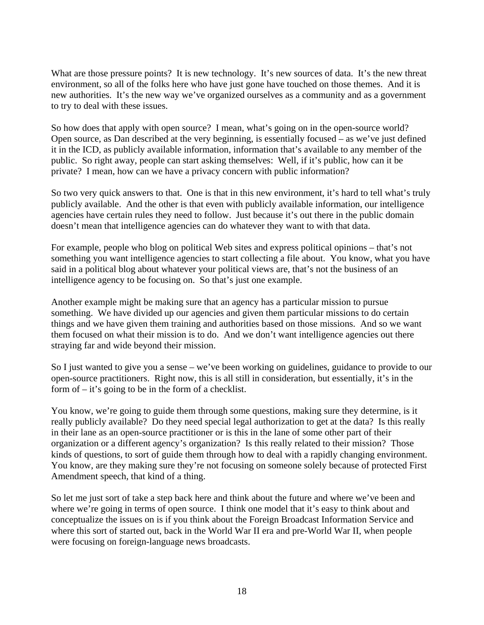What are those pressure points? It is new technology. It's new sources of data. It's the new threat environment, so all of the folks here who have just gone have touched on those themes. And it is new authorities. It's the new way we've organized ourselves as a community and as a government to try to deal with these issues.

So how does that apply with open source? I mean, what's going on in the open-source world? Open source, as Dan described at the very beginning, is essentially focused – as we've just defined it in the ICD, as publicly available information, information that's available to any member of the public. So right away, people can start asking themselves: Well, if it's public, how can it be private? I mean, how can we have a privacy concern with public information?

So two very quick answers to that. One is that in this new environment, it's hard to tell what's truly publicly available. And the other is that even with publicly available information, our intelligence agencies have certain rules they need to follow. Just because it's out there in the public domain doesn't mean that intelligence agencies can do whatever they want to with that data.

For example, people who blog on political Web sites and express political opinions – that's not something you want intelligence agencies to start collecting a file about. You know, what you have said in a political blog about whatever your political views are, that's not the business of an intelligence agency to be focusing on. So that's just one example.

Another example might be making sure that an agency has a particular mission to pursue something. We have divided up our agencies and given them particular missions to do certain things and we have given them training and authorities based on those missions. And so we want them focused on what their mission is to do. And we don't want intelligence agencies out there straying far and wide beyond their mission.

So I just wanted to give you a sense – we've been working on guidelines, guidance to provide to our open-source practitioners. Right now, this is all still in consideration, but essentially, it's in the form of – it's going to be in the form of a checklist.

You know, we're going to guide them through some questions, making sure they determine, is it really publicly available? Do they need special legal authorization to get at the data? Is this really in their lane as an open-source practitioner or is this in the lane of some other part of their organization or a different agency's organization? Is this really related to their mission? Those kinds of questions, to sort of guide them through how to deal with a rapidly changing environment. You know, are they making sure they're not focusing on someone solely because of protected First Amendment speech, that kind of a thing.

So let me just sort of take a step back here and think about the future and where we've been and where we're going in terms of open source. I think one model that it's easy to think about and conceptualize the issues on is if you think about the Foreign Broadcast Information Service and where this sort of started out, back in the World War II era and pre-World War II, when people were focusing on foreign-language news broadcasts.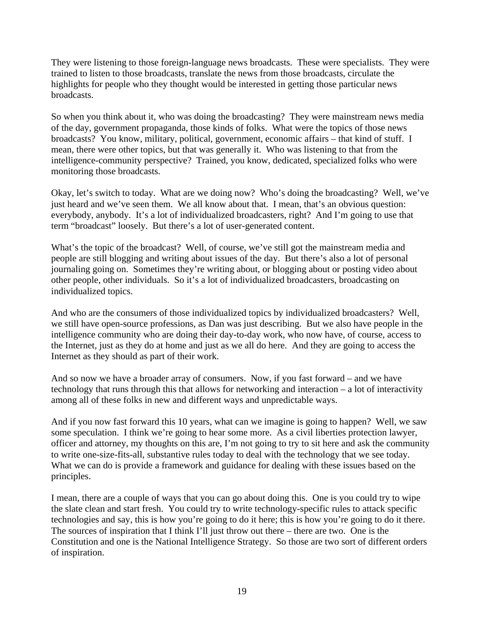They were listening to those foreign-language news broadcasts. These were specialists. They were trained to listen to those broadcasts, translate the news from those broadcasts, circulate the highlights for people who they thought would be interested in getting those particular news broadcasts.

So when you think about it, who was doing the broadcasting? They were mainstream news media of the day, government propaganda, those kinds of folks. What were the topics of those news broadcasts? You know, military, political, government, economic affairs – that kind of stuff. I mean, there were other topics, but that was generally it. Who was listening to that from the intelligence-community perspective? Trained, you know, dedicated, specialized folks who were monitoring those broadcasts.

Okay, let's switch to today. What are we doing now? Who's doing the broadcasting? Well, we've just heard and we've seen them. We all know about that. I mean, that's an obvious question: everybody, anybody. It's a lot of individualized broadcasters, right? And I'm going to use that term "broadcast" loosely. But there's a lot of user-generated content.

What's the topic of the broadcast? Well, of course, we've still got the mainstream media and people are still blogging and writing about issues of the day. But there's also a lot of personal journaling going on. Sometimes they're writing about, or blogging about or posting video about other people, other individuals. So it's a lot of individualized broadcasters, broadcasting on individualized topics.

And who are the consumers of those individualized topics by individualized broadcasters? Well, we still have open-source professions, as Dan was just describing. But we also have people in the intelligence community who are doing their day-to-day work, who now have, of course, access to the Internet, just as they do at home and just as we all do here. And they are going to access the Internet as they should as part of their work.

And so now we have a broader array of consumers. Now, if you fast forward – and we have technology that runs through this that allows for networking and interaction – a lot of interactivity among all of these folks in new and different ways and unpredictable ways.

And if you now fast forward this 10 years, what can we imagine is going to happen? Well, we saw some speculation. I think we're going to hear some more. As a civil liberties protection lawyer, officer and attorney, my thoughts on this are, I'm not going to try to sit here and ask the community to write one-size-fits-all, substantive rules today to deal with the technology that we see today. What we can do is provide a framework and guidance for dealing with these issues based on the principles.

I mean, there are a couple of ways that you can go about doing this. One is you could try to wipe the slate clean and start fresh. You could try to write technology-specific rules to attack specific technologies and say, this is how you're going to do it here; this is how you're going to do it there. The sources of inspiration that I think I'll just throw out there – there are two. One is the Constitution and one is the National Intelligence Strategy. So those are two sort of different orders of inspiration.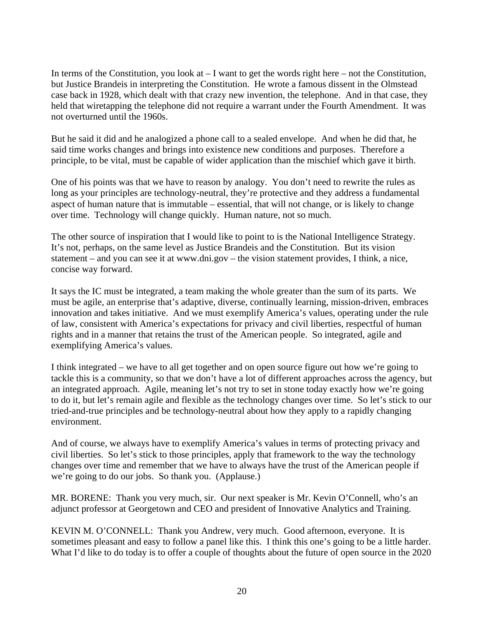In terms of the Constitution, you look at  $-1$  want to get the words right here – not the Constitution, but Justice Brandeis in interpreting the Constitution. He wrote a famous dissent in the Olmstead case back in 1928, which dealt with that crazy new invention, the telephone. And in that case, they held that wiretapping the telephone did not require a warrant under the Fourth Amendment. It was not overturned until the 1960s.

But he said it did and he analogized a phone call to a sealed envelope. And when he did that, he said time works changes and brings into existence new conditions and purposes. Therefore a principle, to be vital, must be capable of wider application than the mischief which gave it birth.

One of his points was that we have to reason by analogy. You don't need to rewrite the rules as long as your principles are technology-neutral, they're protective and they address a fundamental aspect of human nature that is immutable – essential, that will not change, or is likely to change over time. Technology will change quickly. Human nature, not so much.

The other source of inspiration that I would like to point to is the National Intelligence Strategy. It's not, perhaps, on the same level as Justice Brandeis and the Constitution. But its vision statement – and you can see it at www.dni.gov – the vision statement provides, I think, a nice, concise way forward.

It says the IC must be integrated, a team making the whole greater than the sum of its parts. We must be agile, an enterprise that's adaptive, diverse, continually learning, mission-driven, embraces innovation and takes initiative. And we must exemplify America's values, operating under the rule of law, consistent with America's expectations for privacy and civil liberties, respectful of human rights and in a manner that retains the trust of the American people. So integrated, agile and exemplifying America's values.

I think integrated – we have to all get together and on open source figure out how we're going to tackle this is a community, so that we don't have a lot of different approaches across the agency, but an integrated approach. Agile, meaning let's not try to set in stone today exactly how we're going to do it, but let's remain agile and flexible as the technology changes over time. So let's stick to our tried-and-true principles and be technology-neutral about how they apply to a rapidly changing environment.

And of course, we always have to exemplify America's values in terms of protecting privacy and civil liberties. So let's stick to those principles, apply that framework to the way the technology changes over time and remember that we have to always have the trust of the American people if we're going to do our jobs. So thank you. (Applause.)

MR. BORENE: Thank you very much, sir. Our next speaker is Mr. Kevin O'Connell, who's an adjunct professor at Georgetown and CEO and president of Innovative Analytics and Training.

KEVIN M. O'CONNELL: Thank you Andrew, very much. Good afternoon, everyone. It is sometimes pleasant and easy to follow a panel like this. I think this one's going to be a little harder. What I'd like to do today is to offer a couple of thoughts about the future of open source in the 2020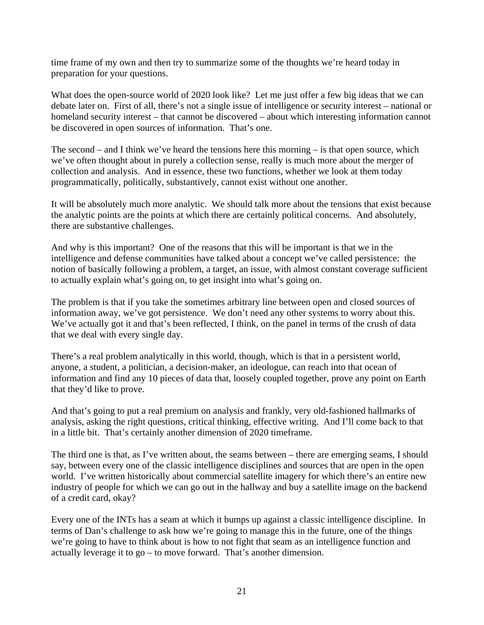time frame of my own and then try to summarize some of the thoughts we're heard today in preparation for your questions.

What does the open-source world of 2020 look like? Let me just offer a few big ideas that we can debate later on. First of all, there's not a single issue of intelligence or security interest – national or homeland security interest – that cannot be discovered – about which interesting information cannot be discovered in open sources of information. That's one.

The second – and I think we've heard the tensions here this morning – is that open source, which we've often thought about in purely a collection sense, really is much more about the merger of collection and analysis. And in essence, these two functions, whether we look at them today programmatically, politically, substantively, cannot exist without one another.

It will be absolutely much more analytic. We should talk more about the tensions that exist because the analytic points are the points at which there are certainly political concerns. And absolutely, there are substantive challenges.

And why is this important? One of the reasons that this will be important is that we in the intelligence and defense communities have talked about a concept we've called persistence: the notion of basically following a problem, a target, an issue, with almost constant coverage sufficient to actually explain what's going on, to get insight into what's going on.

The problem is that if you take the sometimes arbitrary line between open and closed sources of information away, we've got persistence. We don't need any other systems to worry about this. We've actually got it and that's been reflected, I think, on the panel in terms of the crush of data that we deal with every single day.

There's a real problem analytically in this world, though, which is that in a persistent world, anyone, a student, a politician, a decision-maker, an ideologue, can reach into that ocean of information and find any 10 pieces of data that, loosely coupled together, prove any point on Earth that they'd like to prove.

And that's going to put a real premium on analysis and frankly, very old-fashioned hallmarks of analysis, asking the right questions, critical thinking, effective writing. And I'll come back to that in a little bit. That's certainly another dimension of 2020 timeframe.

The third one is that, as I've written about, the seams between – there are emerging seams, I should say, between every one of the classic intelligence disciplines and sources that are open in the open world. I've written historically about commercial satellite imagery for which there's an entire new industry of people for which we can go out in the hallway and buy a satellite image on the backend of a credit card, okay?

Every one of the INTs has a seam at which it bumps up against a classic intelligence discipline. In terms of Dan's challenge to ask how we're going to manage this in the future, one of the things we're going to have to think about is how to not fight that seam as an intelligence function and actually leverage it to go – to move forward. That's another dimension.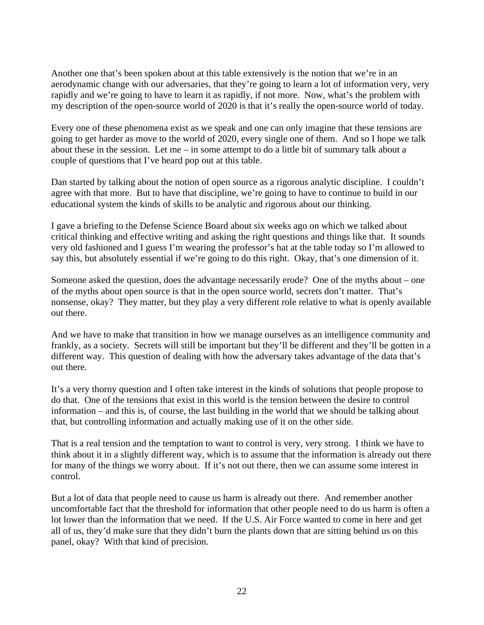Another one that's been spoken about at this table extensively is the notion that we're in an aerodynamic change with our adversaries, that they're going to learn a lot of information very, very rapidly and we're going to have to learn it as rapidly, if not more. Now, what's the problem with my description of the open-source world of 2020 is that it's really the open-source world of today.

Every one of these phenomena exist as we speak and one can only imagine that these tensions are going to get harder as move to the world of 2020, every single one of them. And so I hope we talk about these in the session. Let me – in some attempt to do a little bit of summary talk about a couple of questions that I've heard pop out at this table.

Dan started by talking about the notion of open source as a rigorous analytic discipline. I couldn't agree with that more. But to have that discipline, we're going to have to continue to build in our educational system the kinds of skills to be analytic and rigorous about our thinking.

I gave a briefing to the Defense Science Board about six weeks ago on which we talked about critical thinking and effective writing and asking the right questions and things like that. It sounds very old fashioned and I guess I'm wearing the professor's hat at the table today so I'm allowed to say this, but absolutely essential if we're going to do this right. Okay, that's one dimension of it.

Someone asked the question, does the advantage necessarily erode? One of the myths about – one of the myths about open source is that in the open source world, secrets don't matter. That's nonsense, okay? They matter, but they play a very different role relative to what is openly available out there.

And we have to make that transition in how we manage ourselves as an intelligence community and frankly, as a society. Secrets will still be important but they'll be different and they'll be gotten in a different way. This question of dealing with how the adversary takes advantage of the data that's out there.

It's a very thorny question and I often take interest in the kinds of solutions that people propose to do that. One of the tensions that exist in this world is the tension between the desire to control information – and this is, of course, the last building in the world that we should be talking about that, but controlling information and actually making use of it on the other side.

That is a real tension and the temptation to want to control is very, very strong. I think we have to think about it in a slightly different way, which is to assume that the information is already out there for many of the things we worry about. If it's not out there, then we can assume some interest in control.

But a lot of data that people need to cause us harm is already out there. And remember another uncomfortable fact that the threshold for information that other people need to do us harm is often a lot lower than the information that we need. If the U.S. Air Force wanted to come in here and get all of us, they'd make sure that they didn't burn the plants down that are sitting behind us on this panel, okay? With that kind of precision.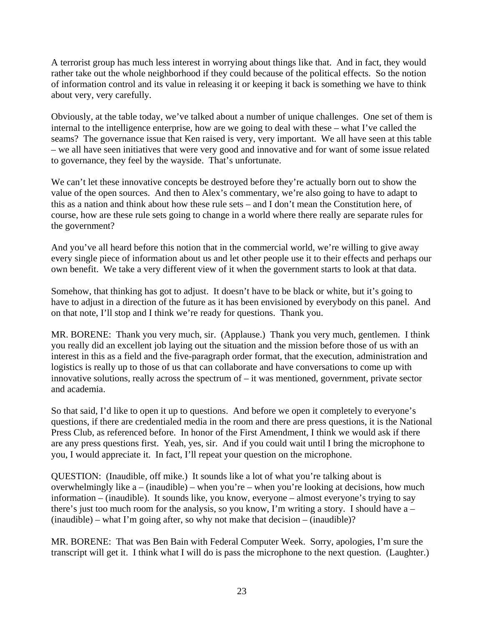A terrorist group has much less interest in worrying about things like that. And in fact, they would rather take out the whole neighborhood if they could because of the political effects. So the notion of information control and its value in releasing it or keeping it back is something we have to think about very, very carefully.

Obviously, at the table today, we've talked about a number of unique challenges. One set of them is internal to the intelligence enterprise, how are we going to deal with these – what I've called the seams? The governance issue that Ken raised is very, very important. We all have seen at this table – we all have seen initiatives that were very good and innovative and for want of some issue related to governance, they feel by the wayside. That's unfortunate.

We can't let these innovative concepts be destroyed before they're actually born out to show the value of the open sources. And then to Alex's commentary, we're also going to have to adapt to this as a nation and think about how these rule sets – and I don't mean the Constitution here, of course, how are these rule sets going to change in a world where there really are separate rules for the government?

And you've all heard before this notion that in the commercial world, we're willing to give away every single piece of information about us and let other people use it to their effects and perhaps our own benefit. We take a very different view of it when the government starts to look at that data.

Somehow, that thinking has got to adjust. It doesn't have to be black or white, but it's going to have to adjust in a direction of the future as it has been envisioned by everybody on this panel. And on that note, I'll stop and I think we're ready for questions. Thank you.

MR. BORENE: Thank you very much, sir. (Applause.) Thank you very much, gentlemen. I think you really did an excellent job laying out the situation and the mission before those of us with an interest in this as a field and the five-paragraph order format, that the execution, administration and logistics is really up to those of us that can collaborate and have conversations to come up with innovative solutions, really across the spectrum of – it was mentioned, government, private sector and academia.

So that said, I'd like to open it up to questions. And before we open it completely to everyone's questions, if there are credentialed media in the room and there are press questions, it is the National Press Club, as referenced before. In honor of the First Amendment, I think we would ask if there are any press questions first. Yeah, yes, sir. And if you could wait until I bring the microphone to you, I would appreciate it. In fact, I'll repeat your question on the microphone.

QUESTION: (Inaudible, off mike.) It sounds like a lot of what you're talking about is overwhelmingly like a – (inaudible) – when you're – when you're looking at decisions, how much information – (inaudible). It sounds like, you know, everyone – almost everyone's trying to say there's just too much room for the analysis, so you know, I'm writing a story. I should have  $a (inaudible) - what I'm going after, so why not make that decision – (inaudible)?$ 

MR. BORENE: That was Ben Bain with Federal Computer Week. Sorry, apologies, I'm sure the transcript will get it. I think what I will do is pass the microphone to the next question. (Laughter.)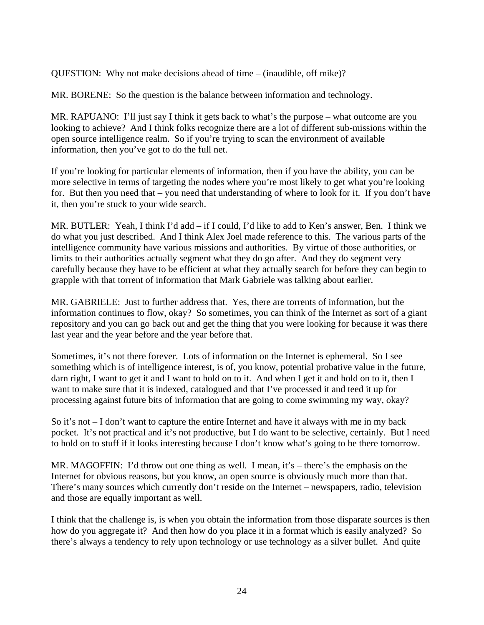QUESTION: Why not make decisions ahead of time – (inaudible, off mike)?

MR. BORENE: So the question is the balance between information and technology.

MR. RAPUANO: I'll just say I think it gets back to what's the purpose – what outcome are you looking to achieve? And I think folks recognize there are a lot of different sub-missions within the open source intelligence realm. So if you're trying to scan the environment of available information, then you've got to do the full net.

If you're looking for particular elements of information, then if you have the ability, you can be more selective in terms of targeting the nodes where you're most likely to get what you're looking for. But then you need that – you need that understanding of where to look for it. If you don't have it, then you're stuck to your wide search.

MR. BUTLER: Yeah, I think I'd add – if I could, I'd like to add to Ken's answer, Ben. I think we do what you just described. And I think Alex Joel made reference to this. The various parts of the intelligence community have various missions and authorities. By virtue of those authorities, or limits to their authorities actually segment what they do go after. And they do segment very carefully because they have to be efficient at what they actually search for before they can begin to grapple with that torrent of information that Mark Gabriele was talking about earlier.

MR. GABRIELE: Just to further address that. Yes, there are torrents of information, but the information continues to flow, okay? So sometimes, you can think of the Internet as sort of a giant repository and you can go back out and get the thing that you were looking for because it was there last year and the year before and the year before that.

Sometimes, it's not there forever. Lots of information on the Internet is ephemeral. So I see something which is of intelligence interest, is of, you know, potential probative value in the future, darn right, I want to get it and I want to hold on to it. And when I get it and hold on to it, then I want to make sure that it is indexed, catalogued and that I've processed it and teed it up for processing against future bits of information that are going to come swimming my way, okay?

So it's not – I don't want to capture the entire Internet and have it always with me in my back pocket. It's not practical and it's not productive, but I do want to be selective, certainly. But I need to hold on to stuff if it looks interesting because I don't know what's going to be there tomorrow.

MR. MAGOFFIN: I'd throw out one thing as well. I mean, it's – there's the emphasis on the Internet for obvious reasons, but you know, an open source is obviously much more than that. There's many sources which currently don't reside on the Internet – newspapers, radio, television and those are equally important as well.

I think that the challenge is, is when you obtain the information from those disparate sources is then how do you aggregate it? And then how do you place it in a format which is easily analyzed? So there's always a tendency to rely upon technology or use technology as a silver bullet. And quite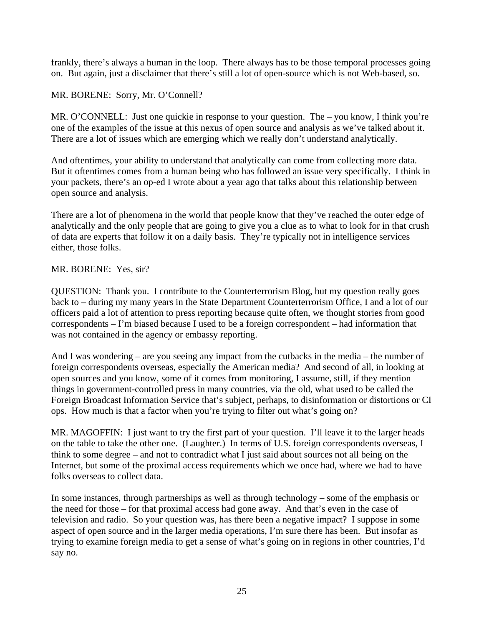frankly, there's always a human in the loop. There always has to be those temporal processes going on. But again, just a disclaimer that there's still a lot of open-source which is not Web-based, so.

# MR. BORENE: Sorry, Mr. O'Connell?

MR. O'CONNELL: Just one quickie in response to your question. The – you know, I think you're one of the examples of the issue at this nexus of open source and analysis as we've talked about it. There are a lot of issues which are emerging which we really don't understand analytically.

And oftentimes, your ability to understand that analytically can come from collecting more data. But it oftentimes comes from a human being who has followed an issue very specifically. I think in your packets, there's an op-ed I wrote about a year ago that talks about this relationship between open source and analysis.

There are a lot of phenomena in the world that people know that they've reached the outer edge of analytically and the only people that are going to give you a clue as to what to look for in that crush of data are experts that follow it on a daily basis. They're typically not in intelligence services either, those folks.

### MR. BORENE: Yes, sir?

QUESTION: Thank you. I contribute to the Counterterrorism Blog, but my question really goes back to – during my many years in the State Department Counterterrorism Office, I and a lot of our officers paid a lot of attention to press reporting because quite often, we thought stories from good correspondents – I'm biased because I used to be a foreign correspondent – had information that was not contained in the agency or embassy reporting.

And I was wondering – are you seeing any impact from the cutbacks in the media – the number of foreign correspondents overseas, especially the American media? And second of all, in looking at open sources and you know, some of it comes from monitoring, I assume, still, if they mention things in government-controlled press in many countries, via the old, what used to be called the Foreign Broadcast Information Service that's subject, perhaps, to disinformation or distortions or CI ops. How much is that a factor when you're trying to filter out what's going on?

MR. MAGOFFIN: I just want to try the first part of your question. I'll leave it to the larger heads on the table to take the other one. (Laughter.) In terms of U.S. foreign correspondents overseas, I think to some degree – and not to contradict what I just said about sources not all being on the Internet, but some of the proximal access requirements which we once had, where we had to have folks overseas to collect data.

In some instances, through partnerships as well as through technology – some of the emphasis or the need for those – for that proximal access had gone away. And that's even in the case of television and radio. So your question was, has there been a negative impact? I suppose in some aspect of open source and in the larger media operations, I'm sure there has been. But insofar as trying to examine foreign media to get a sense of what's going on in regions in other countries, I'd say no.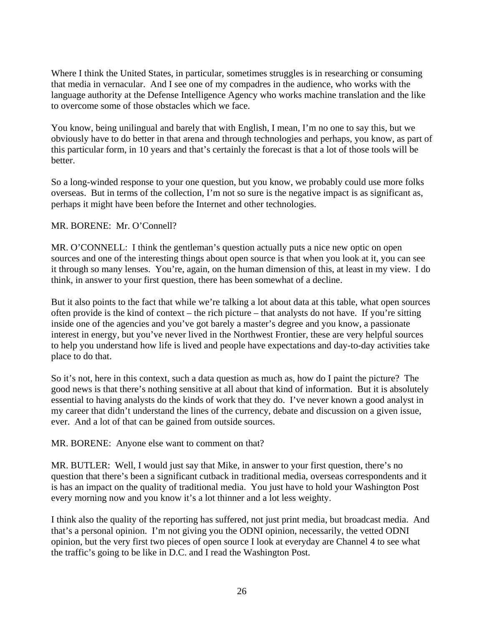Where I think the United States, in particular, sometimes struggles is in researching or consuming that media in vernacular. And I see one of my compadres in the audience, who works with the language authority at the Defense Intelligence Agency who works machine translation and the like to overcome some of those obstacles which we face.

You know, being unilingual and barely that with English, I mean, I'm no one to say this, but we obviously have to do better in that arena and through technologies and perhaps, you know, as part of this particular form, in 10 years and that's certainly the forecast is that a lot of those tools will be better.

So a long-winded response to your one question, but you know, we probably could use more folks overseas. But in terms of the collection, I'm not so sure is the negative impact is as significant as, perhaps it might have been before the Internet and other technologies.

## MR. BORENE: Mr. O'Connell?

MR. O'CONNELL: I think the gentleman's question actually puts a nice new optic on open sources and one of the interesting things about open source is that when you look at it, you can see it through so many lenses. You're, again, on the human dimension of this, at least in my view. I do think, in answer to your first question, there has been somewhat of a decline.

But it also points to the fact that while we're talking a lot about data at this table, what open sources often provide is the kind of context – the rich picture – that analysts do not have. If you're sitting inside one of the agencies and you've got barely a master's degree and you know, a passionate interest in energy, but you've never lived in the Northwest Frontier, these are very helpful sources to help you understand how life is lived and people have expectations and day-to-day activities take place to do that.

So it's not, here in this context, such a data question as much as, how do I paint the picture? The good news is that there's nothing sensitive at all about that kind of information. But it is absolutely essential to having analysts do the kinds of work that they do. I've never known a good analyst in my career that didn't understand the lines of the currency, debate and discussion on a given issue, ever. And a lot of that can be gained from outside sources.

MR. BORENE: Anyone else want to comment on that?

MR. BUTLER: Well, I would just say that Mike, in answer to your first question, there's no question that there's been a significant cutback in traditional media, overseas correspondents and it is has an impact on the quality of traditional media. You just have to hold your Washington Post every morning now and you know it's a lot thinner and a lot less weighty.

I think also the quality of the reporting has suffered, not just print media, but broadcast media. And that's a personal opinion. I'm not giving you the ODNI opinion, necessarily, the vetted ODNI opinion, but the very first two pieces of open source I look at everyday are Channel 4 to see what the traffic's going to be like in D.C. and I read the Washington Post.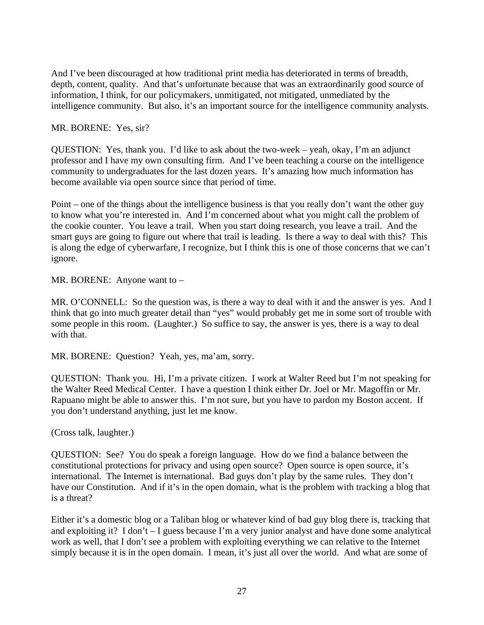And I've been discouraged at how traditional print media has deteriorated in terms of breadth, depth, content, quality. And that's unfortunate because that was an extraordinarily good source of information, I think, for our policymakers, unmitigated, not mitigated, unmediated by the intelligence community. But also, it's an important source for the intelligence community analysts.

## MR. BORENE: Yes, sir?

QUESTION: Yes, thank you. I'd like to ask about the two-week – yeah, okay, I'm an adjunct professor and I have my own consulting firm. And I've been teaching a course on the intelligence community to undergraduates for the last dozen years. It's amazing how much information has become available via open source since that period of time.

Point – one of the things about the intelligence business is that you really don't want the other guy to know what you're interested in. And I'm concerned about what you might call the problem of the cookie counter. You leave a trail. When you start doing research, you leave a trail. And the smart guys are going to figure out where that trail is leading. Is there a way to deal with this? This is along the edge of cyberwarfare, I recognize, but I think this is one of those concerns that we can't ignore.

MR. BORENE: Anyone want to –

MR. O'CONNELL: So the question was, is there a way to deal with it and the answer is yes. And I think that go into much greater detail than "yes" would probably get me in some sort of trouble with some people in this room. (Laughter.) So suffice to say, the answer is yes, there is a way to deal with that.

MR. BORENE: Question? Yeah, yes, ma'am, sorry.

QUESTION: Thank you. Hi, I'm a private citizen. I work at Walter Reed but I'm not speaking for the Walter Reed Medical Center. I have a question I think either Dr. Joel or Mr. Magoffin or Mr. Rapuano might be able to answer this. I'm not sure, but you have to pardon my Boston accent. If you don't understand anything, just let me know.

(Cross talk, laughter.)

QUESTION: See? You do speak a foreign language. How do we find a balance between the constitutional protections for privacy and using open source? Open source is open source, it's international. The Internet is international. Bad guys don't play by the same rules. They don't have our Constitution. And if it's in the open domain, what is the problem with tracking a blog that is a threat?

Either it's a domestic blog or a Taliban blog or whatever kind of bad guy blog there is, tracking that and exploiting it? I don't – I guess because I'm a very junior analyst and have done some analytical work as well, that I don't see a problem with exploiting everything we can relative to the Internet simply because it is in the open domain. I mean, it's just all over the world. And what are some of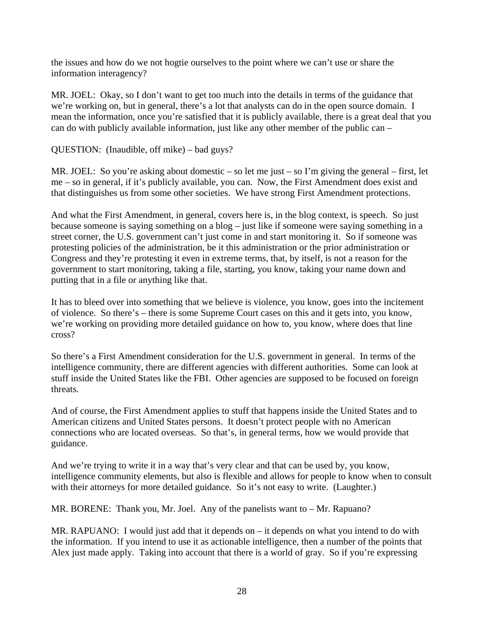the issues and how do we not hogtie ourselves to the point where we can't use or share the information interagency?

MR. JOEL: Okay, so I don't want to get too much into the details in terms of the guidance that we're working on, but in general, there's a lot that analysts can do in the open source domain. I mean the information, once you're satisfied that it is publicly available, there is a great deal that you can do with publicly available information, just like any other member of the public can –

QUESTION: (Inaudible, off mike) – bad guys?

MR. JOEL: So you're asking about domestic – so let me just – so I'm giving the general – first, let me – so in general, if it's publicly available, you can. Now, the First Amendment does exist and that distinguishes us from some other societies. We have strong First Amendment protections.

And what the First Amendment, in general, covers here is, in the blog context, is speech. So just because someone is saying something on a blog – just like if someone were saying something in a street corner, the U.S. government can't just come in and start monitoring it. So if someone was protesting policies of the administration, be it this administration or the prior administration or Congress and they're protesting it even in extreme terms, that, by itself, is not a reason for the government to start monitoring, taking a file, starting, you know, taking your name down and putting that in a file or anything like that.

It has to bleed over into something that we believe is violence, you know, goes into the incitement of violence. So there's – there is some Supreme Court cases on this and it gets into, you know, we're working on providing more detailed guidance on how to, you know, where does that line cross?

So there's a First Amendment consideration for the U.S. government in general. In terms of the intelligence community, there are different agencies with different authorities. Some can look at stuff inside the United States like the FBI. Other agencies are supposed to be focused on foreign threats.

And of course, the First Amendment applies to stuff that happens inside the United States and to American citizens and United States persons. It doesn't protect people with no American connections who are located overseas. So that's, in general terms, how we would provide that guidance.

And we're trying to write it in a way that's very clear and that can be used by, you know, intelligence community elements, but also is flexible and allows for people to know when to consult with their attorneys for more detailed guidance. So it's not easy to write. (Laughter.)

MR. BORENE: Thank you, Mr. Joel. Any of the panelists want to – Mr. Rapuano?

MR. RAPUANO: I would just add that it depends on  $-$  it depends on what you intend to do with the information. If you intend to use it as actionable intelligence, then a number of the points that Alex just made apply. Taking into account that there is a world of gray. So if you're expressing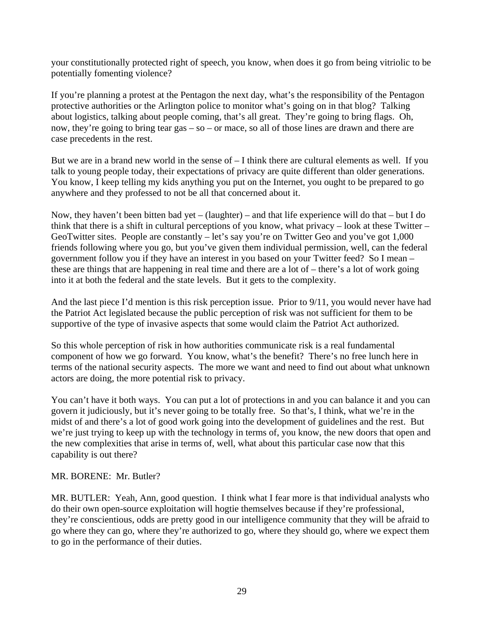your constitutionally protected right of speech, you know, when does it go from being vitriolic to be potentially fomenting violence?

If you're planning a protest at the Pentagon the next day, what's the responsibility of the Pentagon protective authorities or the Arlington police to monitor what's going on in that blog? Talking about logistics, talking about people coming, that's all great. They're going to bring flags. Oh, now, they're going to bring tear gas – so – or mace, so all of those lines are drawn and there are case precedents in the rest.

But we are in a brand new world in the sense of – I think there are cultural elements as well. If you talk to young people today, their expectations of privacy are quite different than older generations. You know, I keep telling my kids anything you put on the Internet, you ought to be prepared to go anywhere and they professed to not be all that concerned about it.

Now, they haven't been bitten bad yet – (laughter) – and that life experience will do that – but I do think that there is a shift in cultural perceptions of you know, what privacy – look at these Twitter – GeoTwitter sites. People are constantly – let's say you're on Twitter Geo and you've got 1,000 friends following where you go, but you've given them individual permission, well, can the federal government follow you if they have an interest in you based on your Twitter feed? So I mean – these are things that are happening in real time and there are a lot of – there's a lot of work going into it at both the federal and the state levels. But it gets to the complexity.

And the last piece I'd mention is this risk perception issue. Prior to 9/11, you would never have had the Patriot Act legislated because the public perception of risk was not sufficient for them to be supportive of the type of invasive aspects that some would claim the Patriot Act authorized.

So this whole perception of risk in how authorities communicate risk is a real fundamental component of how we go forward. You know, what's the benefit? There's no free lunch here in terms of the national security aspects. The more we want and need to find out about what unknown actors are doing, the more potential risk to privacy.

You can't have it both ways. You can put a lot of protections in and you can balance it and you can govern it judiciously, but it's never going to be totally free. So that's, I think, what we're in the midst of and there's a lot of good work going into the development of guidelines and the rest. But we're just trying to keep up with the technology in terms of, you know, the new doors that open and the new complexities that arise in terms of, well, what about this particular case now that this capability is out there?

# MR. BORENE: Mr. Butler?

MR. BUTLER: Yeah, Ann, good question. I think what I fear more is that individual analysts who do their own open-source exploitation will hogtie themselves because if they're professional, they're conscientious, odds are pretty good in our intelligence community that they will be afraid to go where they can go, where they're authorized to go, where they should go, where we expect them to go in the performance of their duties.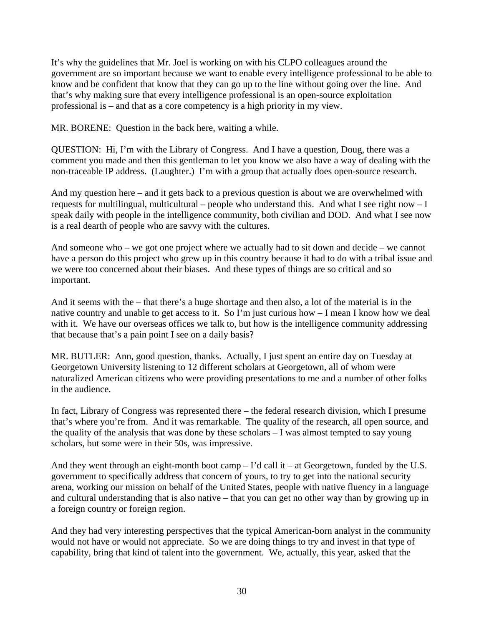It's why the guidelines that Mr. Joel is working on with his CLPO colleagues around the government are so important because we want to enable every intelligence professional to be able to know and be confident that know that they can go up to the line without going over the line. And that's why making sure that every intelligence professional is an open-source exploitation professional is – and that as a core competency is a high priority in my view.

MR. BORENE: Question in the back here, waiting a while.

QUESTION: Hi, I'm with the Library of Congress. And I have a question, Doug, there was a comment you made and then this gentleman to let you know we also have a way of dealing with the non-traceable IP address. (Laughter.) I'm with a group that actually does open-source research.

And my question here – and it gets back to a previous question is about we are overwhelmed with requests for multilingual, multicultural – people who understand this. And what I see right now – I speak daily with people in the intelligence community, both civilian and DOD. And what I see now is a real dearth of people who are savvy with the cultures.

And someone who – we got one project where we actually had to sit down and decide – we cannot have a person do this project who grew up in this country because it had to do with a tribal issue and we were too concerned about their biases. And these types of things are so critical and so important.

And it seems with the – that there's a huge shortage and then also, a lot of the material is in the native country and unable to get access to it. So I'm just curious how – I mean I know how we deal with it. We have our overseas offices we talk to, but how is the intelligence community addressing that because that's a pain point I see on a daily basis?

MR. BUTLER: Ann, good question, thanks. Actually, I just spent an entire day on Tuesday at Georgetown University listening to 12 different scholars at Georgetown, all of whom were naturalized American citizens who were providing presentations to me and a number of other folks in the audience.

In fact, Library of Congress was represented there – the federal research division, which I presume that's where you're from. And it was remarkable. The quality of the research, all open source, and the quality of the analysis that was done by these scholars – I was almost tempted to say young scholars, but some were in their 50s, was impressive.

And they went through an eight-month boot camp – I'd call it – at Georgetown, funded by the U.S. government to specifically address that concern of yours, to try to get into the national security arena, working our mission on behalf of the United States, people with native fluency in a language and cultural understanding that is also native – that you can get no other way than by growing up in a foreign country or foreign region.

And they had very interesting perspectives that the typical American-born analyst in the community would not have or would not appreciate. So we are doing things to try and invest in that type of capability, bring that kind of talent into the government. We, actually, this year, asked that the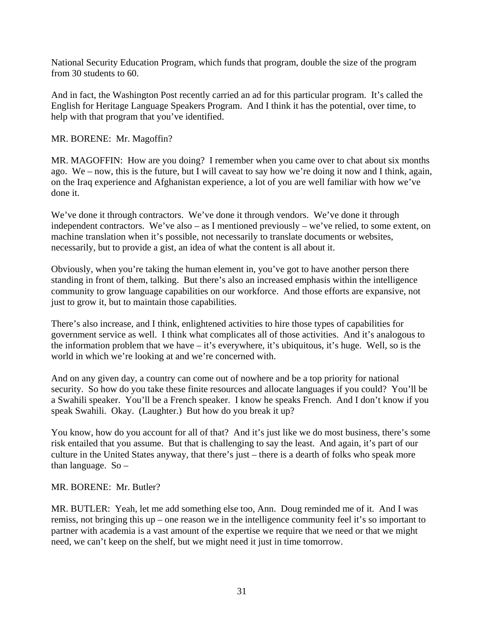National Security Education Program, which funds that program, double the size of the program from 30 students to 60.

And in fact, the Washington Post recently carried an ad for this particular program. It's called the English for Heritage Language Speakers Program. And I think it has the potential, over time, to help with that program that you've identified.

MR. BORENE: Mr. Magoffin?

MR. MAGOFFIN: How are you doing? I remember when you came over to chat about six months ago. We – now, this is the future, but I will caveat to say how we're doing it now and I think, again, on the Iraq experience and Afghanistan experience, a lot of you are well familiar with how we've done it.

We've done it through contractors. We've done it through vendors. We've done it through independent contractors. We've also – as I mentioned previously – we've relied, to some extent, on machine translation when it's possible, not necessarily to translate documents or websites, necessarily, but to provide a gist, an idea of what the content is all about it.

Obviously, when you're taking the human element in, you've got to have another person there standing in front of them, talking. But there's also an increased emphasis within the intelligence community to grow language capabilities on our workforce. And those efforts are expansive, not just to grow it, but to maintain those capabilities.

There's also increase, and I think, enlightened activities to hire those types of capabilities for government service as well. I think what complicates all of those activities. And it's analogous to the information problem that we have – it's everywhere, it's ubiquitous, it's huge. Well, so is the world in which we're looking at and we're concerned with.

And on any given day, a country can come out of nowhere and be a top priority for national security. So how do you take these finite resources and allocate languages if you could? You'll be a Swahili speaker. You'll be a French speaker. I know he speaks French. And I don't know if you speak Swahili. Okay. (Laughter.) But how do you break it up?

You know, how do you account for all of that? And it's just like we do most business, there's some risk entailed that you assume. But that is challenging to say the least. And again, it's part of our culture in the United States anyway, that there's just – there is a dearth of folks who speak more than language.  $So -$ 

MR. BORENE: Mr. Butler?

MR. BUTLER: Yeah, let me add something else too, Ann. Doug reminded me of it. And I was remiss, not bringing this up – one reason we in the intelligence community feel it's so important to partner with academia is a vast amount of the expertise we require that we need or that we might need, we can't keep on the shelf, but we might need it just in time tomorrow.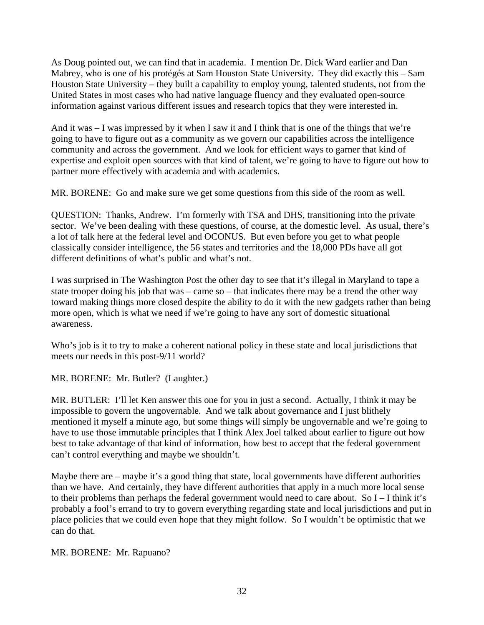As Doug pointed out, we can find that in academia. I mention Dr. Dick Ward earlier and Dan Mabrey, who is one of his protégés at Sam Houston State University. They did exactly this – Sam Houston State University – they built a capability to employ young, talented students, not from the United States in most cases who had native language fluency and they evaluated open-source information against various different issues and research topics that they were interested in.

And it was – I was impressed by it when I saw it and I think that is one of the things that we're going to have to figure out as a community as we govern our capabilities across the intelligence community and across the government. And we look for efficient ways to garner that kind of expertise and exploit open sources with that kind of talent, we're going to have to figure out how to partner more effectively with academia and with academics.

MR. BORENE: Go and make sure we get some questions from this side of the room as well.

QUESTION: Thanks, Andrew. I'm formerly with TSA and DHS, transitioning into the private sector. We've been dealing with these questions, of course, at the domestic level. As usual, there's a lot of talk here at the federal level and OCONUS. But even before you get to what people classically consider intelligence, the 56 states and territories and the 18,000 PDs have all got different definitions of what's public and what's not.

I was surprised in The Washington Post the other day to see that it's illegal in Maryland to tape a state trooper doing his job that was – came so – that indicates there may be a trend the other way toward making things more closed despite the ability to do it with the new gadgets rather than being more open, which is what we need if we're going to have any sort of domestic situational awareness.

Who's job is it to try to make a coherent national policy in these state and local jurisdictions that meets our needs in this post-9/11 world?

MR. BORENE: Mr. Butler? (Laughter.)

MR. BUTLER: I'll let Ken answer this one for you in just a second. Actually, I think it may be impossible to govern the ungovernable. And we talk about governance and I just blithely mentioned it myself a minute ago, but some things will simply be ungovernable and we're going to have to use those immutable principles that I think Alex Joel talked about earlier to figure out how best to take advantage of that kind of information, how best to accept that the federal government can't control everything and maybe we shouldn't.

Maybe there are – maybe it's a good thing that state, local governments have different authorities than we have. And certainly, they have different authorities that apply in a much more local sense to their problems than perhaps the federal government would need to care about. So I – I think it's probably a fool's errand to try to govern everything regarding state and local jurisdictions and put in place policies that we could even hope that they might follow. So I wouldn't be optimistic that we can do that.

### MR. BORENE: Mr. Rapuano?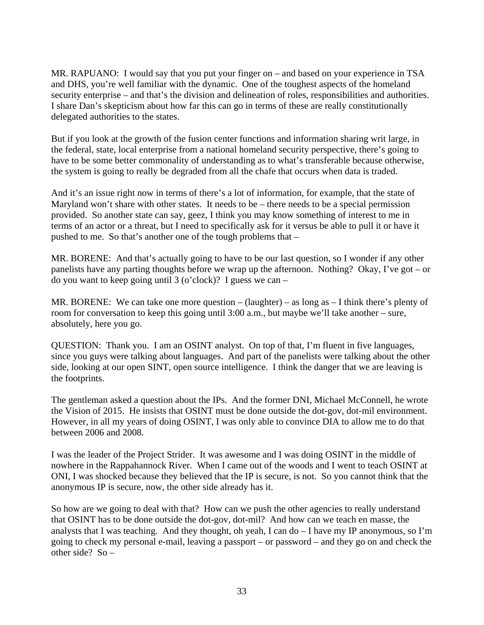MR. RAPUANO: I would say that you put your finger on – and based on your experience in TSA and DHS, you're well familiar with the dynamic. One of the toughest aspects of the homeland security enterprise – and that's the division and delineation of roles, responsibilities and authorities. I share Dan's skepticism about how far this can go in terms of these are really constitutionally delegated authorities to the states.

But if you look at the growth of the fusion center functions and information sharing writ large, in the federal, state, local enterprise from a national homeland security perspective, there's going to have to be some better commonality of understanding as to what's transferable because otherwise, the system is going to really be degraded from all the chafe that occurs when data is traded.

And it's an issue right now in terms of there's a lot of information, for example, that the state of Maryland won't share with other states. It needs to be – there needs to be a special permission provided. So another state can say, geez, I think you may know something of interest to me in terms of an actor or a threat, but I need to specifically ask for it versus be able to pull it or have it pushed to me. So that's another one of the tough problems that –

MR. BORENE: And that's actually going to have to be our last question, so I wonder if any other panelists have any parting thoughts before we wrap up the afternoon. Nothing? Okay, I've got – or do you want to keep going until 3 (o'clock)? I guess we can –

MR. BORENE: We can take one more question  $-$  (laughter) – as long as  $-$  I think there's plenty of room for conversation to keep this going until 3:00 a.m., but maybe we'll take another – sure, absolutely, here you go.

QUESTION: Thank you. I am an OSINT analyst. On top of that, I'm fluent in five languages, since you guys were talking about languages. And part of the panelists were talking about the other side, looking at our open SINT, open source intelligence. I think the danger that we are leaving is the footprints.

The gentleman asked a question about the IPs. And the former DNI, Michael McConnell, he wrote the Vision of 2015. He insists that OSINT must be done outside the dot-gov, dot-mil environment. However, in all my years of doing OSINT, I was only able to convince DIA to allow me to do that between 2006 and 2008.

I was the leader of the Project Strider. It was awesome and I was doing OSINT in the middle of nowhere in the Rappahannock River. When I came out of the woods and I went to teach OSINT at ONI, I was shocked because they believed that the IP is secure, is not. So you cannot think that the anonymous IP is secure, now, the other side already has it.

So how are we going to deal with that? How can we push the other agencies to really understand that OSINT has to be done outside the dot-gov, dot-mil? And how can we teach en masse, the analysts that I was teaching. And they thought, oh yeah, I can do – I have my IP anonymous, so I'm going to check my personal e-mail, leaving a passport – or password – and they go on and check the other side?  $So -$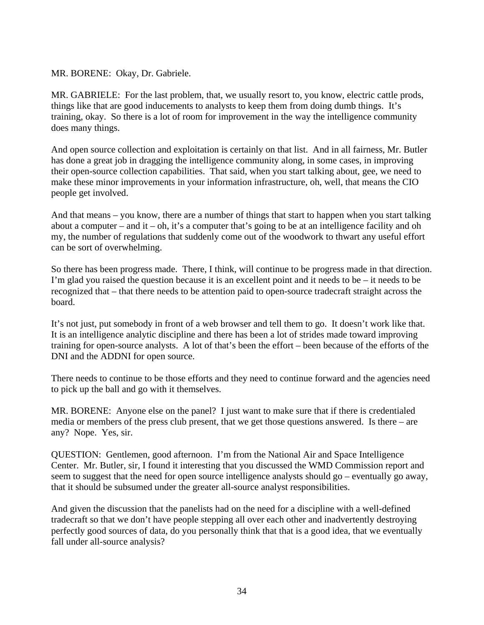MR. BORENE: Okay, Dr. Gabriele.

MR. GABRIELE: For the last problem, that, we usually resort to, you know, electric cattle prods, things like that are good inducements to analysts to keep them from doing dumb things. It's training, okay. So there is a lot of room for improvement in the way the intelligence community does many things.

And open source collection and exploitation is certainly on that list. And in all fairness, Mr. Butler has done a great job in dragging the intelligence community along, in some cases, in improving their open-source collection capabilities. That said, when you start talking about, gee, we need to make these minor improvements in your information infrastructure, oh, well, that means the CIO people get involved.

And that means – you know, there are a number of things that start to happen when you start talking about a computer – and it – oh, it's a computer that's going to be at an intelligence facility and oh my, the number of regulations that suddenly come out of the woodwork to thwart any useful effort can be sort of overwhelming.

So there has been progress made. There, I think, will continue to be progress made in that direction. I'm glad you raised the question because it is an excellent point and it needs to be – it needs to be recognized that – that there needs to be attention paid to open-source tradecraft straight across the board.

It's not just, put somebody in front of a web browser and tell them to go. It doesn't work like that. It is an intelligence analytic discipline and there has been a lot of strides made toward improving training for open-source analysts. A lot of that's been the effort – been because of the efforts of the DNI and the ADDNI for open source.

There needs to continue to be those efforts and they need to continue forward and the agencies need to pick up the ball and go with it themselves.

MR. BORENE: Anyone else on the panel? I just want to make sure that if there is credentialed media or members of the press club present, that we get those questions answered. Is there – are any? Nope. Yes, sir.

QUESTION: Gentlemen, good afternoon. I'm from the National Air and Space Intelligence Center. Mr. Butler, sir, I found it interesting that you discussed the WMD Commission report and seem to suggest that the need for open source intelligence analysts should go – eventually go away, that it should be subsumed under the greater all-source analyst responsibilities.

And given the discussion that the panelists had on the need for a discipline with a well-defined tradecraft so that we don't have people stepping all over each other and inadvertently destroying perfectly good sources of data, do you personally think that that is a good idea, that we eventually fall under all-source analysis?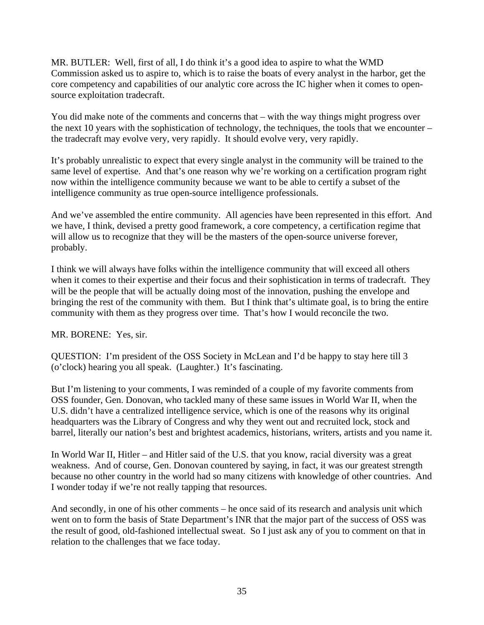MR. BUTLER: Well, first of all, I do think it's a good idea to aspire to what the WMD Commission asked us to aspire to, which is to raise the boats of every analyst in the harbor, get the core competency and capabilities of our analytic core across the IC higher when it comes to opensource exploitation tradecraft.

You did make note of the comments and concerns that – with the way things might progress over the next 10 years with the sophistication of technology, the techniques, the tools that we encounter – the tradecraft may evolve very, very rapidly. It should evolve very, very rapidly.

It's probably unrealistic to expect that every single analyst in the community will be trained to the same level of expertise. And that's one reason why we're working on a certification program right now within the intelligence community because we want to be able to certify a subset of the intelligence community as true open-source intelligence professionals.

And we've assembled the entire community. All agencies have been represented in this effort. And we have, I think, devised a pretty good framework, a core competency, a certification regime that will allow us to recognize that they will be the masters of the open-source universe forever, probably.

I think we will always have folks within the intelligence community that will exceed all others when it comes to their expertise and their focus and their sophistication in terms of tradecraft. They will be the people that will be actually doing most of the innovation, pushing the envelope and bringing the rest of the community with them. But I think that's ultimate goal, is to bring the entire community with them as they progress over time. That's how I would reconcile the two.

MR. BORENE: Yes, sir.

QUESTION: I'm president of the OSS Society in McLean and I'd be happy to stay here till 3 (o'clock) hearing you all speak. (Laughter.) It's fascinating.

But I'm listening to your comments, I was reminded of a couple of my favorite comments from OSS founder, Gen. Donovan, who tackled many of these same issues in World War II, when the U.S. didn't have a centralized intelligence service, which is one of the reasons why its original headquarters was the Library of Congress and why they went out and recruited lock, stock and barrel, literally our nation's best and brightest academics, historians, writers, artists and you name it.

In World War II, Hitler – and Hitler said of the U.S. that you know, racial diversity was a great weakness. And of course, Gen. Donovan countered by saying, in fact, it was our greatest strength because no other country in the world had so many citizens with knowledge of other countries. And I wonder today if we're not really tapping that resources.

And secondly, in one of his other comments – he once said of its research and analysis unit which went on to form the basis of State Department's INR that the major part of the success of OSS was the result of good, old-fashioned intellectual sweat. So I just ask any of you to comment on that in relation to the challenges that we face today.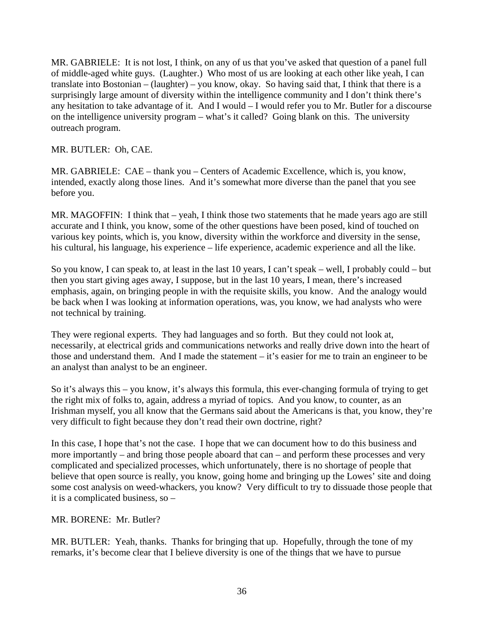MR. GABRIELE: It is not lost, I think, on any of us that you've asked that question of a panel full of middle-aged white guys. (Laughter.) Who most of us are looking at each other like yeah, I can translate into Bostonian – (laughter) – you know, okay. So having said that, I think that there is a surprisingly large amount of diversity within the intelligence community and I don't think there's any hesitation to take advantage of it. And I would – I would refer you to Mr. Butler for a discourse on the intelligence university program – what's it called? Going blank on this. The university outreach program.

MR. BUTLER: Oh, CAE.

MR. GABRIELE: CAE – thank you – Centers of Academic Excellence, which is, you know, intended, exactly along those lines. And it's somewhat more diverse than the panel that you see before you.

MR. MAGOFFIN: I think that – yeah, I think those two statements that he made years ago are still accurate and I think, you know, some of the other questions have been posed, kind of touched on various key points, which is, you know, diversity within the workforce and diversity in the sense, his cultural, his language, his experience – life experience, academic experience and all the like.

So you know, I can speak to, at least in the last 10 years, I can't speak – well, I probably could – but then you start giving ages away, I suppose, but in the last 10 years, I mean, there's increased emphasis, again, on bringing people in with the requisite skills, you know. And the analogy would be back when I was looking at information operations, was, you know, we had analysts who were not technical by training.

They were regional experts. They had languages and so forth. But they could not look at, necessarily, at electrical grids and communications networks and really drive down into the heart of those and understand them. And I made the statement – it's easier for me to train an engineer to be an analyst than analyst to be an engineer.

So it's always this – you know, it's always this formula, this ever-changing formula of trying to get the right mix of folks to, again, address a myriad of topics. And you know, to counter, as an Irishman myself, you all know that the Germans said about the Americans is that, you know, they're very difficult to fight because they don't read their own doctrine, right?

In this case, I hope that's not the case. I hope that we can document how to do this business and more importantly – and bring those people aboard that can – and perform these processes and very complicated and specialized processes, which unfortunately, there is no shortage of people that believe that open source is really, you know, going home and bringing up the Lowes' site and doing some cost analysis on weed-whackers, you know? Very difficult to try to dissuade those people that it is a complicated business, so –

### MR. BORENE: Mr. Butler?

MR. BUTLER: Yeah, thanks. Thanks for bringing that up. Hopefully, through the tone of my remarks, it's become clear that I believe diversity is one of the things that we have to pursue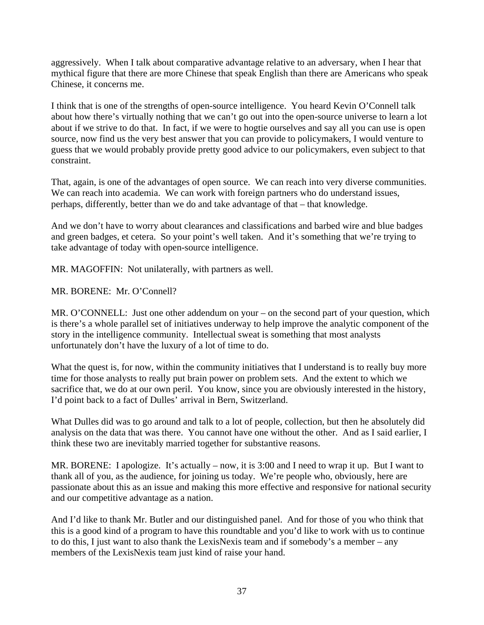aggressively. When I talk about comparative advantage relative to an adversary, when I hear that mythical figure that there are more Chinese that speak English than there are Americans who speak Chinese, it concerns me.

I think that is one of the strengths of open-source intelligence. You heard Kevin O'Connell talk about how there's virtually nothing that we can't go out into the open-source universe to learn a lot about if we strive to do that. In fact, if we were to hogtie ourselves and say all you can use is open source, now find us the very best answer that you can provide to policymakers, I would venture to guess that we would probably provide pretty good advice to our policymakers, even subject to that constraint.

That, again, is one of the advantages of open source. We can reach into very diverse communities. We can reach into academia. We can work with foreign partners who do understand issues, perhaps, differently, better than we do and take advantage of that – that knowledge.

And we don't have to worry about clearances and classifications and barbed wire and blue badges and green badges, et cetera. So your point's well taken. And it's something that we're trying to take advantage of today with open-source intelligence.

MR. MAGOFFIN: Not unilaterally, with partners as well.

MR. BORENE: Mr. O'Connell?

MR. O'CONNELL: Just one other addendum on your – on the second part of your question, which is there's a whole parallel set of initiatives underway to help improve the analytic component of the story in the intelligence community. Intellectual sweat is something that most analysts unfortunately don't have the luxury of a lot of time to do.

What the quest is, for now, within the community initiatives that I understand is to really buy more time for those analysts to really put brain power on problem sets. And the extent to which we sacrifice that, we do at our own peril. You know, since you are obviously interested in the history, I'd point back to a fact of Dulles' arrival in Bern, Switzerland.

What Dulles did was to go around and talk to a lot of people, collection, but then he absolutely did analysis on the data that was there. You cannot have one without the other. And as I said earlier, I think these two are inevitably married together for substantive reasons.

MR. BORENE: I apologize. It's actually – now, it is 3:00 and I need to wrap it up. But I want to thank all of you, as the audience, for joining us today. We're people who, obviously, here are passionate about this as an issue and making this more effective and responsive for national security and our competitive advantage as a nation.

And I'd like to thank Mr. Butler and our distinguished panel. And for those of you who think that this is a good kind of a program to have this roundtable and you'd like to work with us to continue to do this, I just want to also thank the LexisNexis team and if somebody's a member – any members of the LexisNexis team just kind of raise your hand.